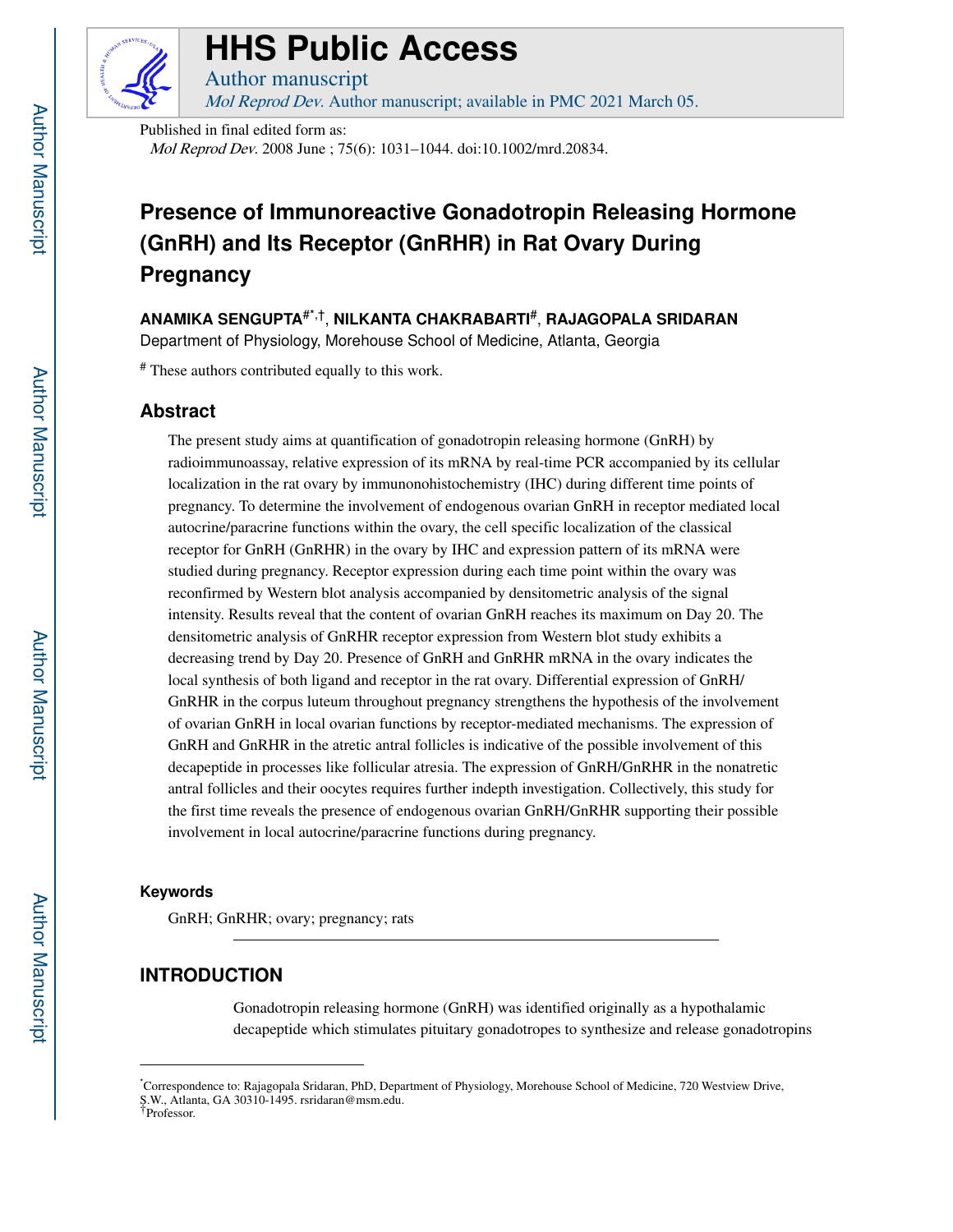

# **HHS Public Access**

Mol Reprod Dev. Author manuscript; available in PMC 2021 March 05.

Published in final edited form as:

Author manuscript

Mol Reprod Dev. 2008 June ; 75(6): 1031–1044. doi:10.1002/mrd.20834.

# **Presence of Immunoreactive Gonadotropin Releasing Hormone (GnRH) and Its Receptor (GnRHR) in Rat Ovary During Pregnancy**

**ANAMIKA SENGUPTA**#\*,†, **NILKANTA CHAKRABARTI**#, **RAJAGOPALA SRIDARAN**

Department of Physiology, Morehouse School of Medicine, Atlanta, Georgia

# These authors contributed equally to this work.

# **Abstract**

The present study aims at quantification of gonadotropin releasing hormone (GnRH) by radioimmunoassay, relative expression of its mRNA by real-time PCR accompanied by its cellular localization in the rat ovary by immunonohistochemistry (IHC) during different time points of pregnancy. To determine the involvement of endogenous ovarian GnRH in receptor mediated local autocrine/paracrine functions within the ovary, the cell specific localization of the classical receptor for GnRH (GnRHR) in the ovary by IHC and expression pattern of its mRNA were studied during pregnancy. Receptor expression during each time point within the ovary was reconfirmed by Western blot analysis accompanied by densitometric analysis of the signal intensity. Results reveal that the content of ovarian GnRH reaches its maximum on Day 20. The densitometric analysis of GnRHR receptor expression from Western blot study exhibits a decreasing trend by Day 20. Presence of GnRH and GnRHR mRNA in the ovary indicates the local synthesis of both ligand and receptor in the rat ovary. Differential expression of GnRH/ GnRHR in the corpus luteum throughout pregnancy strengthens the hypothesis of the involvement of ovarian GnRH in local ovarian functions by receptor-mediated mechanisms. The expression of GnRH and GnRHR in the atretic antral follicles is indicative of the possible involvement of this decapeptide in processes like follicular atresia. The expression of GnRH/GnRHR in the nonatretic antral follicles and their oocytes requires further indepth investigation. Collectively, this study for the first time reveals the presence of endogenous ovarian GnRH/GnRHR supporting their possible involvement in local autocrine/paracrine functions during pregnancy.

### **Keywords**

GnRH; GnRHR; ovary; pregnancy; rats

# **INTRODUCTION**

Gonadotropin releasing hormone (GnRH) was identified originally as a hypothalamic decapeptide which stimulates pituitary gonadotropes to synthesize and release gonadotropins

<sup>\*</sup>Correspondence to: Rajagopala Sridaran, PhD, Department of Physiology, Morehouse School of Medicine, 720 Westview Drive, S.W., Atlanta, GA 30310-1495. rsridaran@msm.edu. †Professor.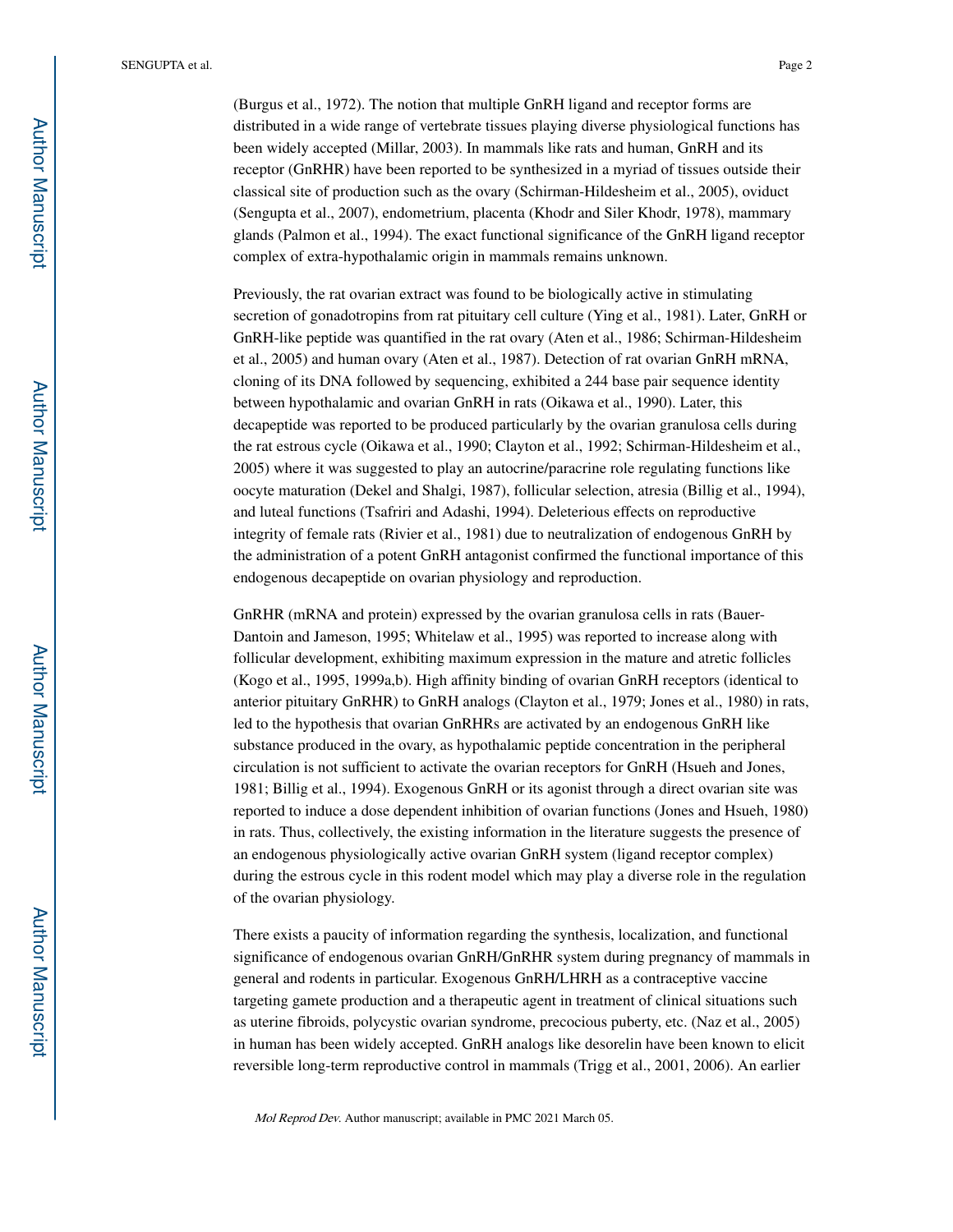(Burgus et al., 1972). The notion that multiple GnRH ligand and receptor forms are distributed in a wide range of vertebrate tissues playing diverse physiological functions has been widely accepted (Millar, 2003). In mammals like rats and human, GnRH and its receptor (GnRHR) have been reported to be synthesized in a myriad of tissues outside their classical site of production such as the ovary (Schirman-Hildesheim et al., 2005), oviduct (Sengupta et al., 2007), endometrium, placenta (Khodr and Siler Khodr, 1978), mammary glands (Palmon et al., 1994). The exact functional significance of the GnRH ligand receptor complex of extra-hypothalamic origin in mammals remains unknown.

Previously, the rat ovarian extract was found to be biologically active in stimulating secretion of gonadotropins from rat pituitary cell culture (Ying et al., 1981). Later, GnRH or GnRH-like peptide was quantified in the rat ovary (Aten et al., 1986; Schirman-Hildesheim et al., 2005) and human ovary (Aten et al., 1987). Detection of rat ovarian GnRH mRNA, cloning of its DNA followed by sequencing, exhibited a 244 base pair sequence identity between hypothalamic and ovarian GnRH in rats (Oikawa et al., 1990). Later, this decapeptide was reported to be produced particularly by the ovarian granulosa cells during the rat estrous cycle (Oikawa et al., 1990; Clayton et al., 1992; Schirman-Hildesheim et al., 2005) where it was suggested to play an autocrine/paracrine role regulating functions like oocyte maturation (Dekel and Shalgi, 1987), follicular selection, atresia (Billig et al., 1994), and luteal functions (Tsafriri and Adashi, 1994). Deleterious effects on reproductive integrity of female rats (Rivier et al., 1981) due to neutralization of endogenous GnRH by the administration of a potent GnRH antagonist confirmed the functional importance of this endogenous decapeptide on ovarian physiology and reproduction.

GnRHR (mRNA and protein) expressed by the ovarian granulosa cells in rats (Bauer-Dantoin and Jameson, 1995; Whitelaw et al., 1995) was reported to increase along with follicular development, exhibiting maximum expression in the mature and atretic follicles (Kogo et al., 1995, 1999a,b). High affinity binding of ovarian GnRH receptors (identical to anterior pituitary GnRHR) to GnRH analogs (Clayton et al., 1979; Jones et al., 1980) in rats, led to the hypothesis that ovarian GnRHRs are activated by an endogenous GnRH like substance produced in the ovary, as hypothalamic peptide concentration in the peripheral circulation is not sufficient to activate the ovarian receptors for GnRH (Hsueh and Jones, 1981; Billig et al., 1994). Exogenous GnRH or its agonist through a direct ovarian site was reported to induce a dose dependent inhibition of ovarian functions (Jones and Hsueh, 1980) in rats. Thus, collectively, the existing information in the literature suggests the presence of an endogenous physiologically active ovarian GnRH system (ligand receptor complex) during the estrous cycle in this rodent model which may play a diverse role in the regulation of the ovarian physiology.

There exists a paucity of information regarding the synthesis, localization, and functional significance of endogenous ovarian GnRH/GnRHR system during pregnancy of mammals in general and rodents in particular. Exogenous GnRH/LHRH as a contraceptive vaccine targeting gamete production and a therapeutic agent in treatment of clinical situations such as uterine fibroids, polycystic ovarian syndrome, precocious puberty, etc. (Naz et al., 2005) in human has been widely accepted. GnRH analogs like desorelin have been known to elicit reversible long-term reproductive control in mammals (Trigg et al., 2001, 2006). An earlier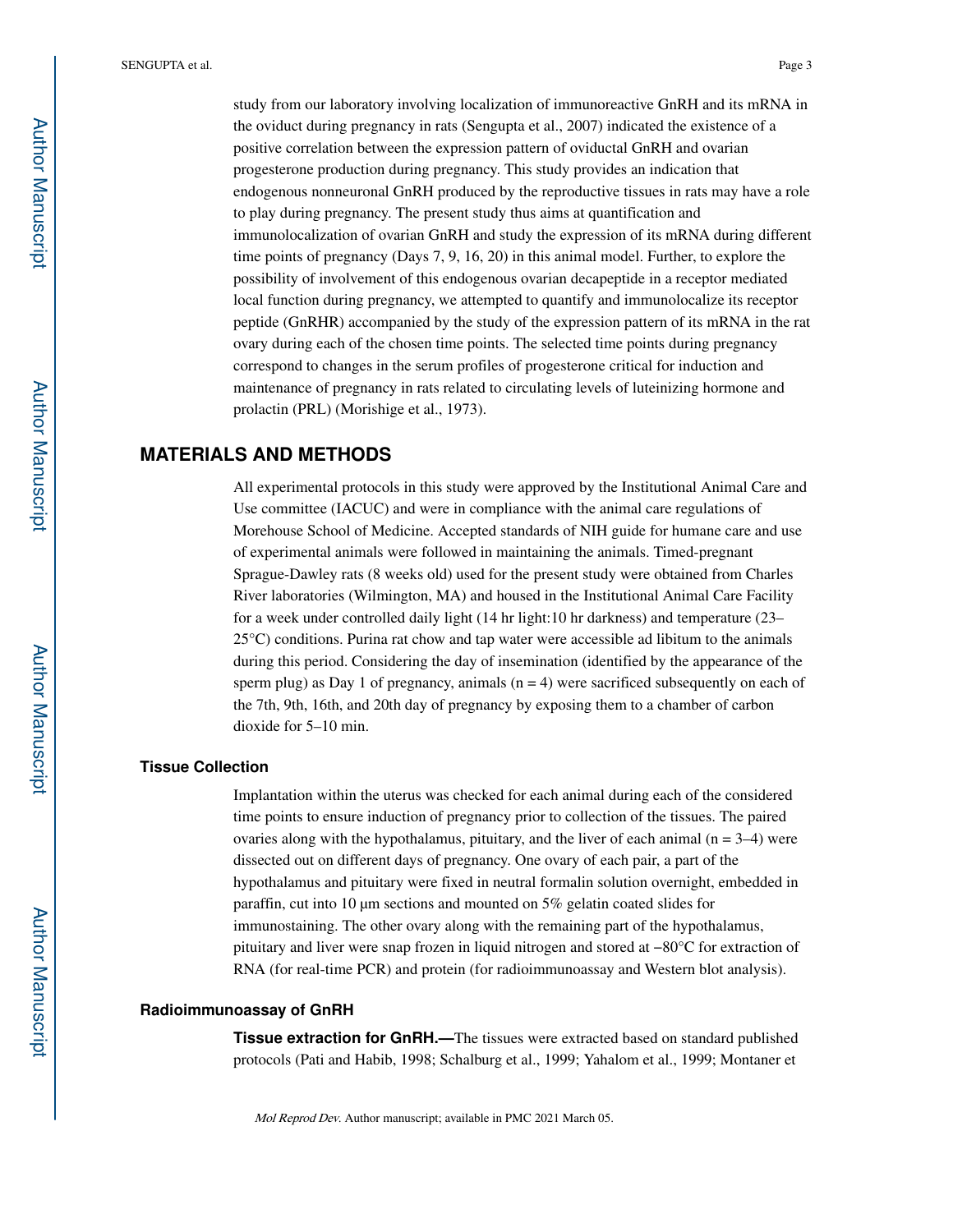study from our laboratory involving localization of immunoreactive GnRH and its mRNA in the oviduct during pregnancy in rats (Sengupta et al., 2007) indicated the existence of a positive correlation between the expression pattern of oviductal GnRH and ovarian progesterone production during pregnancy. This study provides an indication that endogenous nonneuronal GnRH produced by the reproductive tissues in rats may have a role to play during pregnancy. The present study thus aims at quantification and immunolocalization of ovarian GnRH and study the expression of its mRNA during different time points of pregnancy (Days 7, 9, 16, 20) in this animal model. Further, to explore the possibility of involvement of this endogenous ovarian decapeptide in a receptor mediated local function during pregnancy, we attempted to quantify and immunolocalize its receptor peptide (GnRHR) accompanied by the study of the expression pattern of its mRNA in the rat ovary during each of the chosen time points. The selected time points during pregnancy correspond to changes in the serum profiles of progesterone critical for induction and maintenance of pregnancy in rats related to circulating levels of luteinizing hormone and prolactin (PRL) (Morishige et al., 1973).

## **MATERIALS AND METHODS**

All experimental protocols in this study were approved by the Institutional Animal Care and Use committee (IACUC) and were in compliance with the animal care regulations of Morehouse School of Medicine. Accepted standards of NIH guide for humane care and use of experimental animals were followed in maintaining the animals. Timed-pregnant Sprague-Dawley rats (8 weeks old) used for the present study were obtained from Charles River laboratories (Wilmington, MA) and housed in the Institutional Animal Care Facility for a week under controlled daily light (14 hr light:10 hr darkness) and temperature (23– 25°C) conditions. Purina rat chow and tap water were accessible ad libitum to the animals during this period. Considering the day of insemination (identified by the appearance of the sperm plug) as Day 1 of pregnancy, animals  $(n = 4)$  were sacrificed subsequently on each of the 7th, 9th, 16th, and 20th day of pregnancy by exposing them to a chamber of carbon dioxide for 5–10 min.

#### **Tissue Collection**

Implantation within the uterus was checked for each animal during each of the considered time points to ensure induction of pregnancy prior to collection of the tissues. The paired ovaries along with the hypothalamus, pituitary, and the liver of each animal  $(n = 3-4)$  were dissected out on different days of pregnancy. One ovary of each pair, a part of the hypothalamus and pituitary were fixed in neutral formalin solution overnight, embedded in paraffin, cut into 10 μm sections and mounted on 5% gelatin coated slides for immunostaining. The other ovary along with the remaining part of the hypothalamus, pituitary and liver were snap frozen in liquid nitrogen and stored at −80°C for extraction of RNA (for real-time PCR) and protein (for radioimmunoassay and Western blot analysis).

#### **Radioimmunoassay of GnRH**

**Tissue extraction for GnRH.—**The tissues were extracted based on standard published protocols (Pati and Habib, 1998; Schalburg et al., 1999; Yahalom et al., 1999; Montaner et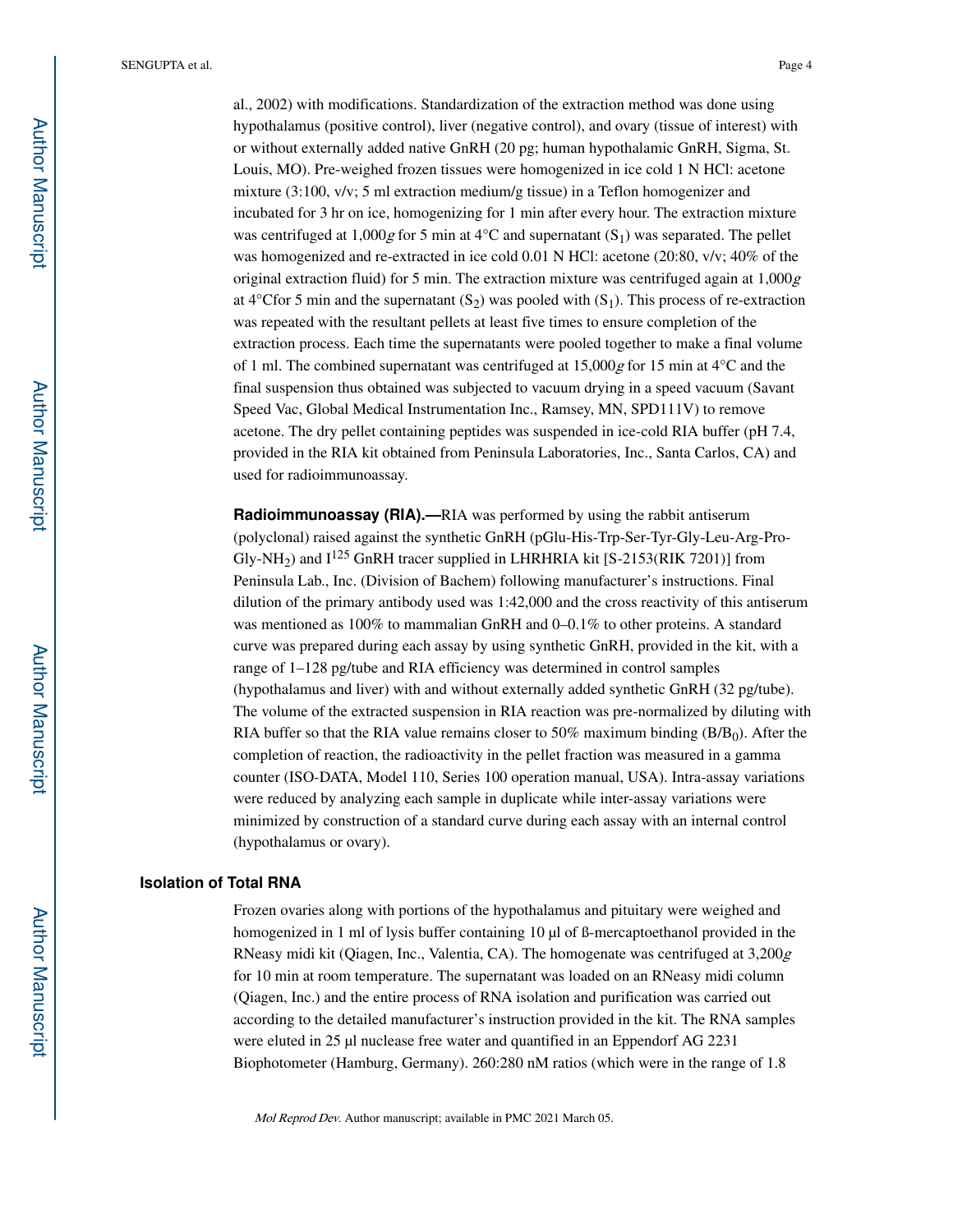al., 2002) with modifications. Standardization of the extraction method was done using hypothalamus (positive control), liver (negative control), and ovary (tissue of interest) with or without externally added native GnRH (20 pg; human hypothalamic GnRH, Sigma, St. Louis, MO). Pre-weighed frozen tissues were homogenized in ice cold 1 N HCl: acetone mixture (3:100, v/v; 5 ml extraction medium/g tissue) in a Teflon homogenizer and incubated for 3 hr on ice, homogenizing for 1 min after every hour. The extraction mixture was centrifuged at 1,000g for 5 min at  $4^{\circ}$ C and supernatant (S<sub>1</sub>) was separated. The pellet was homogenized and re-extracted in ice cold 0.01 N HCl: acetone (20:80, v/v; 40% of the original extraction fluid) for 5 min. The extraction mixture was centrifuged again at  $1,000g$ at 4°Cfor 5 min and the supernatant  $(S_2)$  was pooled with  $(S_1)$ . This process of re-extraction was repeated with the resultant pellets at least five times to ensure completion of the extraction process. Each time the supernatants were pooled together to make a final volume of 1 ml. The combined supernatant was centrifuged at  $15,000g$  for 15 min at  $4^{\circ}$ C and the final suspension thus obtained was subjected to vacuum drying in a speed vacuum (Savant Speed Vac, Global Medical Instrumentation Inc., Ramsey, MN, SPD111V) to remove acetone. The dry pellet containing peptides was suspended in ice-cold RIA buffer (pH 7.4, provided in the RIA kit obtained from Peninsula Laboratories, Inc., Santa Carlos, CA) and used for radioimmunoassay.

**Radioimmunoassay (RIA).—RIA** was performed by using the rabbit antiserum (polyclonal) raised against the synthetic GnRH (pGlu-His-Trp-Ser-Tyr-Gly-Leu-Arg-Pro-Gly-NH<sub>2</sub>) and I<sup>125</sup> GnRH tracer supplied in LHRHRIA kit [S-2153(RIK 7201)] from Peninsula Lab., Inc. (Division of Bachem) following manufacturer's instructions. Final dilution of the primary antibody used was 1:42,000 and the cross reactivity of this antiserum was mentioned as 100% to mammalian GnRH and 0–0.1% to other proteins. A standard curve was prepared during each assay by using synthetic GnRH, provided in the kit, with a range of 1–128 pg/tube and RIA efficiency was determined in control samples (hypothalamus and liver) with and without externally added synthetic GnRH (32 pg/tube). The volume of the extracted suspension in RIA reaction was pre-normalized by diluting with RIA buffer so that the RIA value remains closer to  $50\%$  maximum binding ( $B/B<sub>0</sub>$ ). After the completion of reaction, the radioactivity in the pellet fraction was measured in a gamma counter (ISO-DATA, Model 110, Series 100 operation manual, USA). Intra-assay variations were reduced by analyzing each sample in duplicate while inter-assay variations were minimized by construction of a standard curve during each assay with an internal control (hypothalamus or ovary).

#### **Isolation of Total RNA**

Frozen ovaries along with portions of the hypothalamus and pituitary were weighed and homogenized in 1 ml of lysis buffer containing 10 μl of ß-mercaptoethanol provided in the RNeasy midi kit (Qiagen, Inc., Valentia, CA). The homogenate was centrifuged at 3,200<sup>g</sup> for 10 min at room temperature. The supernatant was loaded on an RNeasy midi column (Qiagen, Inc.) and the entire process of RNA isolation and purification was carried out according to the detailed manufacturer's instruction provided in the kit. The RNA samples were eluted in 25 μl nuclease free water and quantified in an Eppendorf AG 2231 Biophotometer (Hamburg, Germany). 260:280 nM ratios (which were in the range of 1.8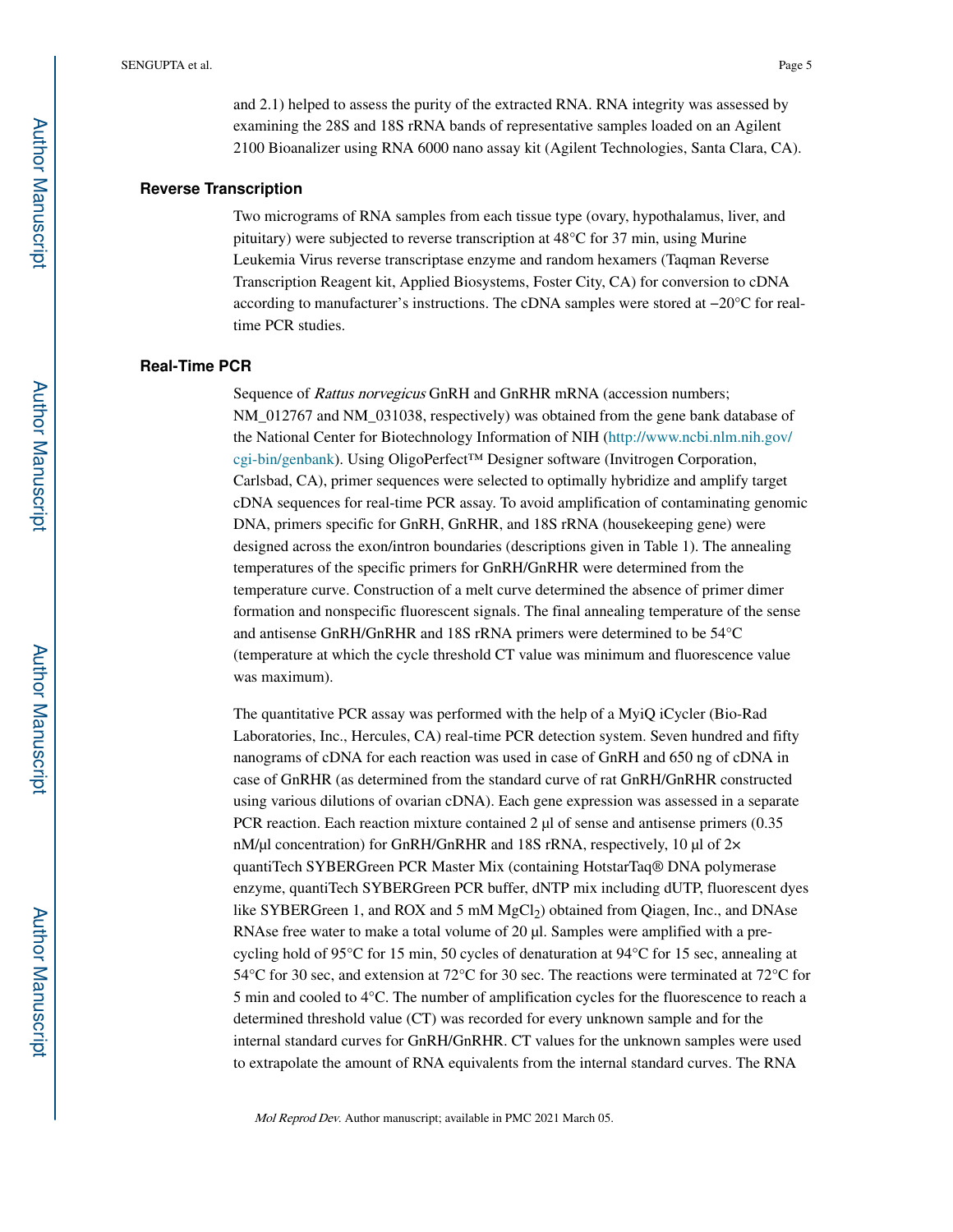and 2.1) helped to assess the purity of the extracted RNA. RNA integrity was assessed by examining the 28S and 18S rRNA bands of representative samples loaded on an Agilent 2100 Bioanalizer using RNA 6000 nano assay kit (Agilent Technologies, Santa Clara, CA).

#### **Reverse Transcription**

Two micrograms of RNA samples from each tissue type (ovary, hypothalamus, liver, and pituitary) were subjected to reverse transcription at 48°C for 37 min, using Murine Leukemia Virus reverse transcriptase enzyme and random hexamers (Taqman Reverse Transcription Reagent kit, Applied Biosystems, Foster City, CA) for conversion to cDNA according to manufacturer's instructions. The cDNA samples were stored at −20°C for realtime PCR studies.

#### **Real-Time PCR**

Sequence of Rattus norvegicus GnRH and GnRHR mRNA (accession numbers; NM\_012767 and NM\_031038, respectively) was obtained from the gene bank database of the National Center for Biotechnology Information of NIH (http://www.ncbi.nlm.nih.gov/ cgi-bin/genbank). Using OligoPerfect™ Designer software (Invitrogen Corporation, Carlsbad, CA), primer sequences were selected to optimally hybridize and amplify target cDNA sequences for real-time PCR assay. To avoid amplification of contaminating genomic DNA, primers specific for GnRH, GnRHR, and 18S rRNA (housekeeping gene) were designed across the exon/intron boundaries (descriptions given in Table 1). The annealing temperatures of the specific primers for GnRH/GnRHR were determined from the temperature curve. Construction of a melt curve determined the absence of primer dimer formation and nonspecific fluorescent signals. The final annealing temperature of the sense and antisense GnRH/GnRHR and 18S rRNA primers were determined to be 54°C (temperature at which the cycle threshold CT value was minimum and fluorescence value was maximum).

The quantitative PCR assay was performed with the help of a MyiQ iCycler (Bio-Rad Laboratories, Inc., Hercules, CA) real-time PCR detection system. Seven hundred and fifty nanograms of cDNA for each reaction was used in case of GnRH and 650 ng of cDNA in case of GnRHR (as determined from the standard curve of rat GnRH/GnRHR constructed using various dilutions of ovarian cDNA). Each gene expression was assessed in a separate PCR reaction. Each reaction mixture contained 2 μl of sense and antisense primers (0.35 nM/μl concentration) for GnRH/GnRHR and 18S rRNA, respectively, 10 μl of 2× quantiTech SYBERGreen PCR Master Mix (containing HotstarTaq® DNA polymerase enzyme, quantiTech SYBERGreen PCR buffer, dNTP mix including dUTP, fluorescent dyes like SYBERGreen 1, and ROX and 5 mM  $MgCl<sub>2</sub>$ ) obtained from Qiagen, Inc., and DNAse RNAse free water to make a total volume of 20 μl. Samples were amplified with a precycling hold of 95°C for 15 min, 50 cycles of denaturation at 94°C for 15 sec, annealing at 54°C for 30 sec, and extension at 72°C for 30 sec. The reactions were terminated at 72°C for 5 min and cooled to 4°C. The number of amplification cycles for the fluorescence to reach a determined threshold value (CT) was recorded for every unknown sample and for the internal standard curves for GnRH/GnRHR. CT values for the unknown samples were used to extrapolate the amount of RNA equivalents from the internal standard curves. The RNA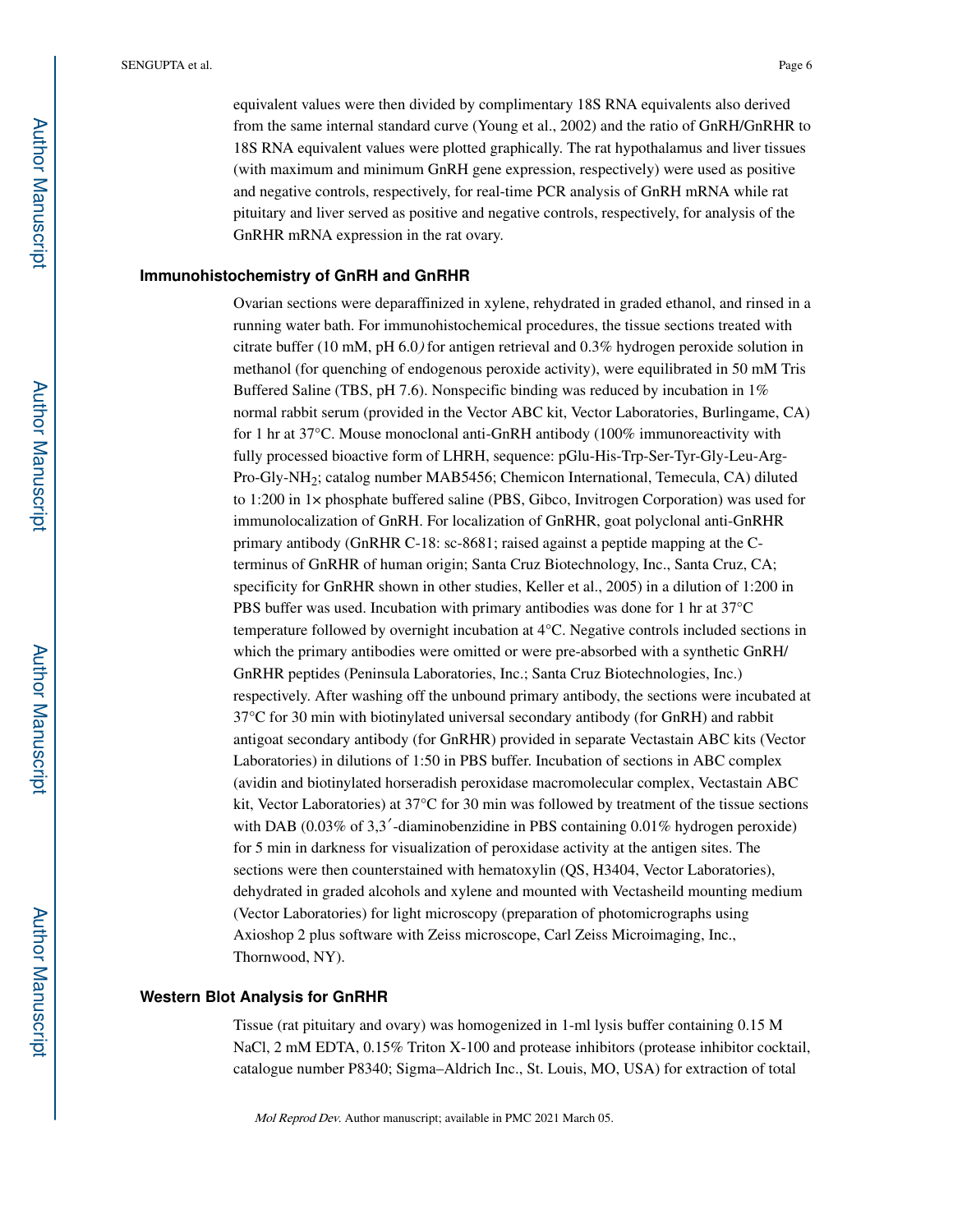equivalent values were then divided by complimentary 18S RNA equivalents also derived from the same internal standard curve (Young et al., 2002) and the ratio of GnRH/GnRHR to 18S RNA equivalent values were plotted graphically. The rat hypothalamus and liver tissues (with maximum and minimum GnRH gene expression, respectively) were used as positive and negative controls, respectively, for real-time PCR analysis of GnRH mRNA while rat pituitary and liver served as positive and negative controls, respectively, for analysis of the GnRHR mRNA expression in the rat ovary.

#### **Immunohistochemistry of GnRH and GnRHR**

Ovarian sections were deparaffinized in xylene, rehydrated in graded ethanol, and rinsed in a running water bath. For immunohistochemical procedures, the tissue sections treated with citrate buffer (10 mM, pH 6.0) for antigen retrieval and 0.3% hydrogen peroxide solution in methanol (for quenching of endogenous peroxide activity), were equilibrated in 50 mM Tris Buffered Saline (TBS, pH 7.6). Nonspecific binding was reduced by incubation in 1% normal rabbit serum (provided in the Vector ABC kit, Vector Laboratories, Burlingame, CA) for 1 hr at 37°C. Mouse monoclonal anti-GnRH antibody (100% immunoreactivity with fully processed bioactive form of LHRH, sequence: pGlu-His-Trp-Ser-Tyr-Gly-Leu-Arg-Pro-Gly-NH2; catalog number MAB5456; Chemicon International, Temecula, CA) diluted to 1:200 in 1× phosphate buffered saline (PBS, Gibco, Invitrogen Corporation) was used for immunolocalization of GnRH. For localization of GnRHR, goat polyclonal anti-GnRHR primary antibody (GnRHR C-18: sc-8681; raised against a peptide mapping at the Cterminus of GnRHR of human origin; Santa Cruz Biotechnology, Inc., Santa Cruz, CA; specificity for GnRHR shown in other studies, Keller et al., 2005) in a dilution of 1:200 in PBS buffer was used. Incubation with primary antibodies was done for 1 hr at 37°C temperature followed by overnight incubation at 4°C. Negative controls included sections in which the primary antibodies were omitted or were pre-absorbed with a synthetic GnRH/ GnRHR peptides (Peninsula Laboratories, Inc.; Santa Cruz Biotechnologies, Inc.) respectively. After washing off the unbound primary antibody, the sections were incubated at 37°C for 30 min with biotinylated universal secondary antibody (for GnRH) and rabbit antigoat secondary antibody (for GnRHR) provided in separate Vectastain ABC kits (Vector Laboratories) in dilutions of 1:50 in PBS buffer. Incubation of sections in ABC complex (avidin and biotinylated horseradish peroxidase macromolecular complex, Vectastain ABC kit, Vector Laboratories) at 37°C for 30 min was followed by treatment of the tissue sections with DAB (0.03% of 3,3<sup>'</sup>-diaminobenzidine in PBS containing 0.01% hydrogen peroxide) for 5 min in darkness for visualization of peroxidase activity at the antigen sites. The sections were then counterstained with hematoxylin (QS, H3404, Vector Laboratories), dehydrated in graded alcohols and xylene and mounted with Vectasheild mounting medium (Vector Laboratories) for light microscopy (preparation of photomicrographs using Axioshop 2 plus software with Zeiss microscope, Carl Zeiss Microimaging, Inc., Thornwood, NY).

#### **Western Blot Analysis for GnRHR**

Tissue (rat pituitary and ovary) was homogenized in 1-ml lysis buffer containing 0.15 M NaCl, 2 mM EDTA, 0.15% Triton X-100 and protease inhibitors (protease inhibitor cocktail, catalogue number P8340; Sigma–Aldrich Inc., St. Louis, MO, USA) for extraction of total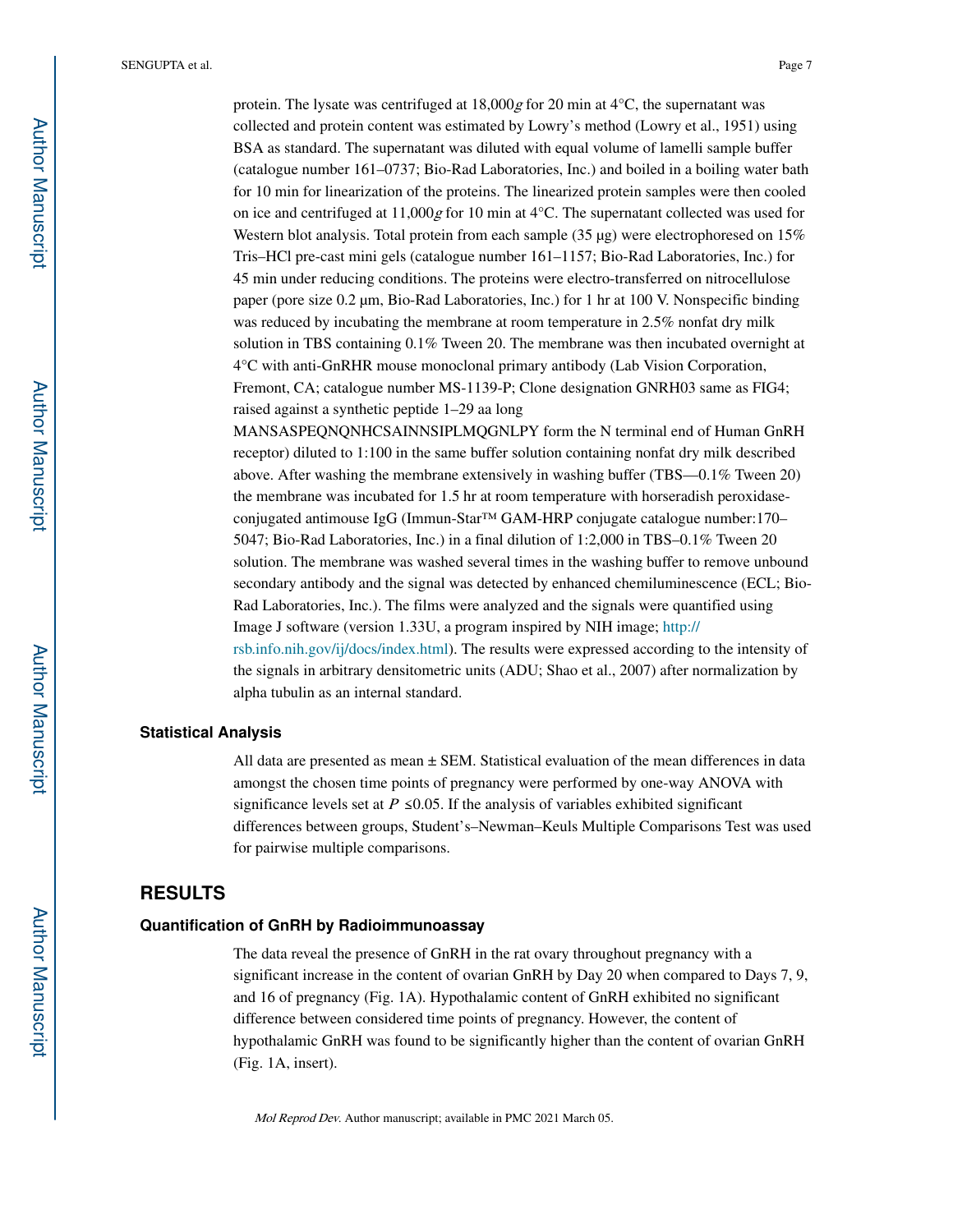protein. The lysate was centrifuged at  $18,000g$  for 20 min at 4 $\rm ^{\circ}C$ , the supernatant was collected and protein content was estimated by Lowry's method (Lowry et al., 1951) using BSA as standard. The supernatant was diluted with equal volume of lamelli sample buffer (catalogue number 161–0737; Bio-Rad Laboratories, Inc.) and boiled in a boiling water bath for 10 min for linearization of the proteins. The linearized protein samples were then cooled on ice and centrifuged at  $11,000g$  for 10 min at 4°C. The supernatant collected was used for Western blot analysis. Total protein from each sample (35 μg) were electrophoresed on 15% Tris–HCl pre-cast mini gels (catalogue number 161–1157; Bio-Rad Laboratories, Inc.) for 45 min under reducing conditions. The proteins were electro-transferred on nitrocellulose paper (pore size 0.2 μm, Bio-Rad Laboratories, Inc.) for 1 hr at 100 V. Nonspecific binding was reduced by incubating the membrane at room temperature in 2.5% nonfat dry milk solution in TBS containing 0.1% Tween 20. The membrane was then incubated overnight at 4°C with anti-GnRHR mouse monoclonal primary antibody (Lab Vision Corporation, Fremont, CA; catalogue number MS-1139-P; Clone designation GNRH03 same as FIG4; raised against a synthetic peptide 1–29 aa long

MANSASPEQNQNHCSAINNSIPLMQGNLPY form the N terminal end of Human GnRH receptor) diluted to 1:100 in the same buffer solution containing nonfat dry milk described above. After washing the membrane extensively in washing buffer (TBS—0.1% Tween 20) the membrane was incubated for 1.5 hr at room temperature with horseradish peroxidaseconjugated antimouse IgG (Immun-Star™ GAM-HRP conjugate catalogue number:170– 5047; Bio-Rad Laboratories, Inc.) in a final dilution of 1:2,000 in TBS–0.1% Tween 20 solution. The membrane was washed several times in the washing buffer to remove unbound secondary antibody and the signal was detected by enhanced chemiluminescence (ECL; Bio-Rad Laboratories, Inc.). The films were analyzed and the signals were quantified using Image J software (version 1.33U, a program inspired by NIH image; http:// rsb.info.nih.gov/ij/docs/index.html). The results were expressed according to the intensity of the signals in arbitrary densitometric units (ADU; Shao et al., 2007) after normalization by alpha tubulin as an internal standard.

#### **Statistical Analysis**

All data are presented as mean ± SEM. Statistical evaluation of the mean differences in data amongst the chosen time points of pregnancy were performed by one-way ANOVA with significance levels set at  $P \le 0.05$ . If the analysis of variables exhibited significant differences between groups, Student's–Newman–Keuls Multiple Comparisons Test was used for pairwise multiple comparisons.

## **RESULTS**

#### **Quantification of GnRH by Radioimmunoassay**

The data reveal the presence of GnRH in the rat ovary throughout pregnancy with a significant increase in the content of ovarian GnRH by Day 20 when compared to Days 7, 9, and 16 of pregnancy (Fig. 1A). Hypothalamic content of GnRH exhibited no significant difference between considered time points of pregnancy. However, the content of hypothalamic GnRH was found to be significantly higher than the content of ovarian GnRH (Fig. 1A, insert).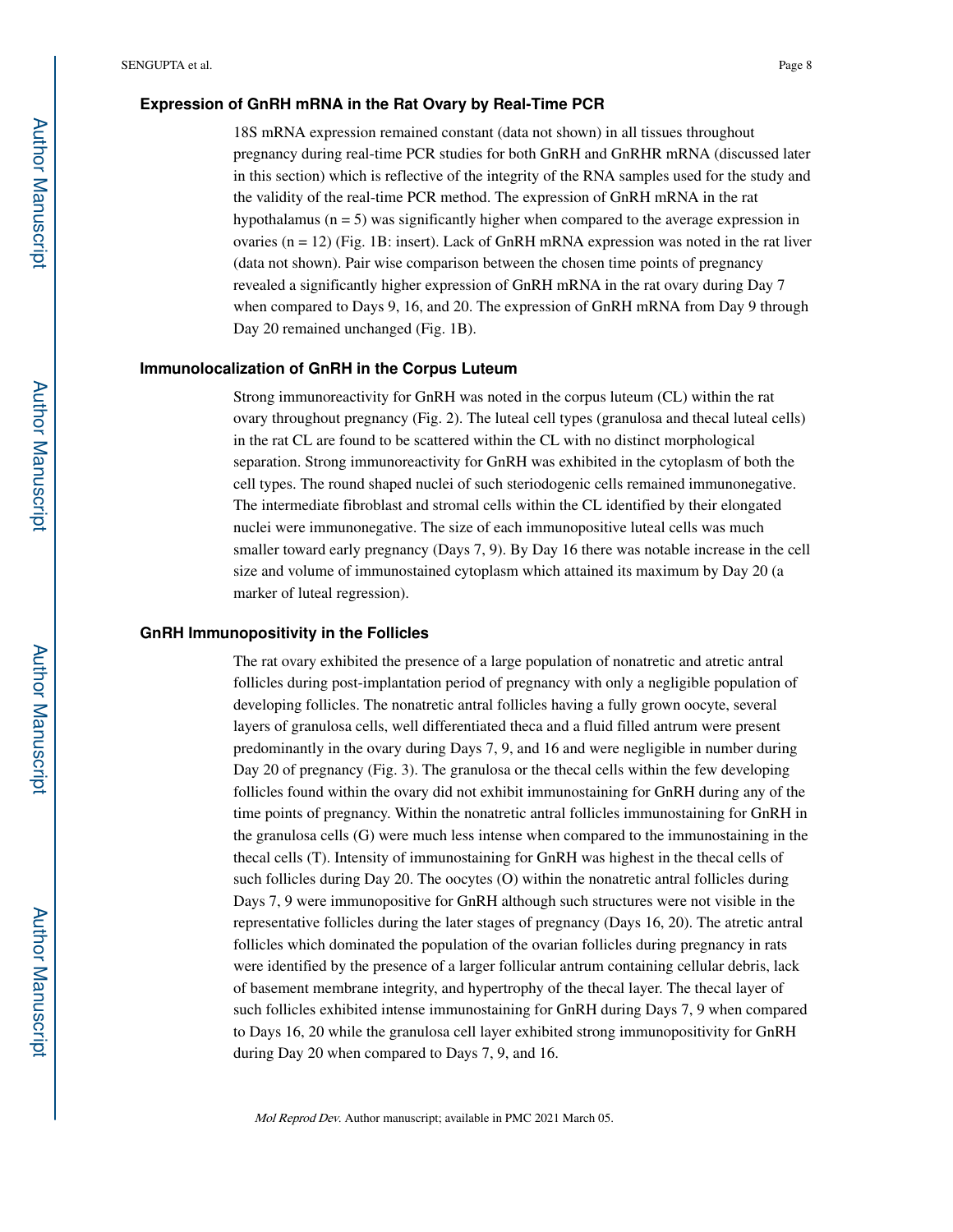#### **Expression of GnRH mRNA in the Rat Ovary by Real-Time PCR**

18S mRNA expression remained constant (data not shown) in all tissues throughout pregnancy during real-time PCR studies for both GnRH and GnRHR mRNA (discussed later in this section) which is reflective of the integrity of the RNA samples used for the study and the validity of the real-time PCR method. The expression of GnRH mRNA in the rat hypothalamus ( $n = 5$ ) was significantly higher when compared to the average expression in ovaries  $(n = 12)$  (Fig. 1B: insert). Lack of GnRH mRNA expression was noted in the rat liver (data not shown). Pair wise comparison between the chosen time points of pregnancy revealed a significantly higher expression of GnRH mRNA in the rat ovary during Day 7 when compared to Days 9, 16, and 20. The expression of GnRH mRNA from Day 9 through Day 20 remained unchanged (Fig. 1B).

#### **Immunolocalization of GnRH in the Corpus Luteum**

Strong immunoreactivity for GnRH was noted in the corpus luteum (CL) within the rat ovary throughout pregnancy (Fig. 2). The luteal cell types (granulosa and thecal luteal cells) in the rat CL are found to be scattered within the CL with no distinct morphological separation. Strong immunoreactivity for GnRH was exhibited in the cytoplasm of both the cell types. The round shaped nuclei of such steriodogenic cells remained immunonegative. The intermediate fibroblast and stromal cells within the CL identified by their elongated nuclei were immunonegative. The size of each immunopositive luteal cells was much smaller toward early pregnancy (Days 7, 9). By Day 16 there was notable increase in the cell size and volume of immunostained cytoplasm which attained its maximum by Day 20 (a marker of luteal regression).

#### **GnRH Immunopositivity in the Follicles**

The rat ovary exhibited the presence of a large population of nonatretic and atretic antral follicles during post-implantation period of pregnancy with only a negligible population of developing follicles. The nonatretic antral follicles having a fully grown oocyte, several layers of granulosa cells, well differentiated theca and a fluid filled antrum were present predominantly in the ovary during Days 7, 9, and 16 and were negligible in number during Day 20 of pregnancy (Fig. 3). The granulosa or the thecal cells within the few developing follicles found within the ovary did not exhibit immunostaining for GnRH during any of the time points of pregnancy. Within the nonatretic antral follicles immunostaining for GnRH in the granulosa cells (G) were much less intense when compared to the immunostaining in the thecal cells (T). Intensity of immunostaining for GnRH was highest in the thecal cells of such follicles during Day 20. The oocytes (O) within the nonatretic antral follicles during Days 7, 9 were immunopositive for GnRH although such structures were not visible in the representative follicles during the later stages of pregnancy (Days 16, 20). The atretic antral follicles which dominated the population of the ovarian follicles during pregnancy in rats were identified by the presence of a larger follicular antrum containing cellular debris, lack of basement membrane integrity, and hypertrophy of the thecal layer. The thecal layer of such follicles exhibited intense immunostaining for GnRH during Days 7, 9 when compared to Days 16, 20 while the granulosa cell layer exhibited strong immunopositivity for GnRH during Day 20 when compared to Days 7, 9, and 16.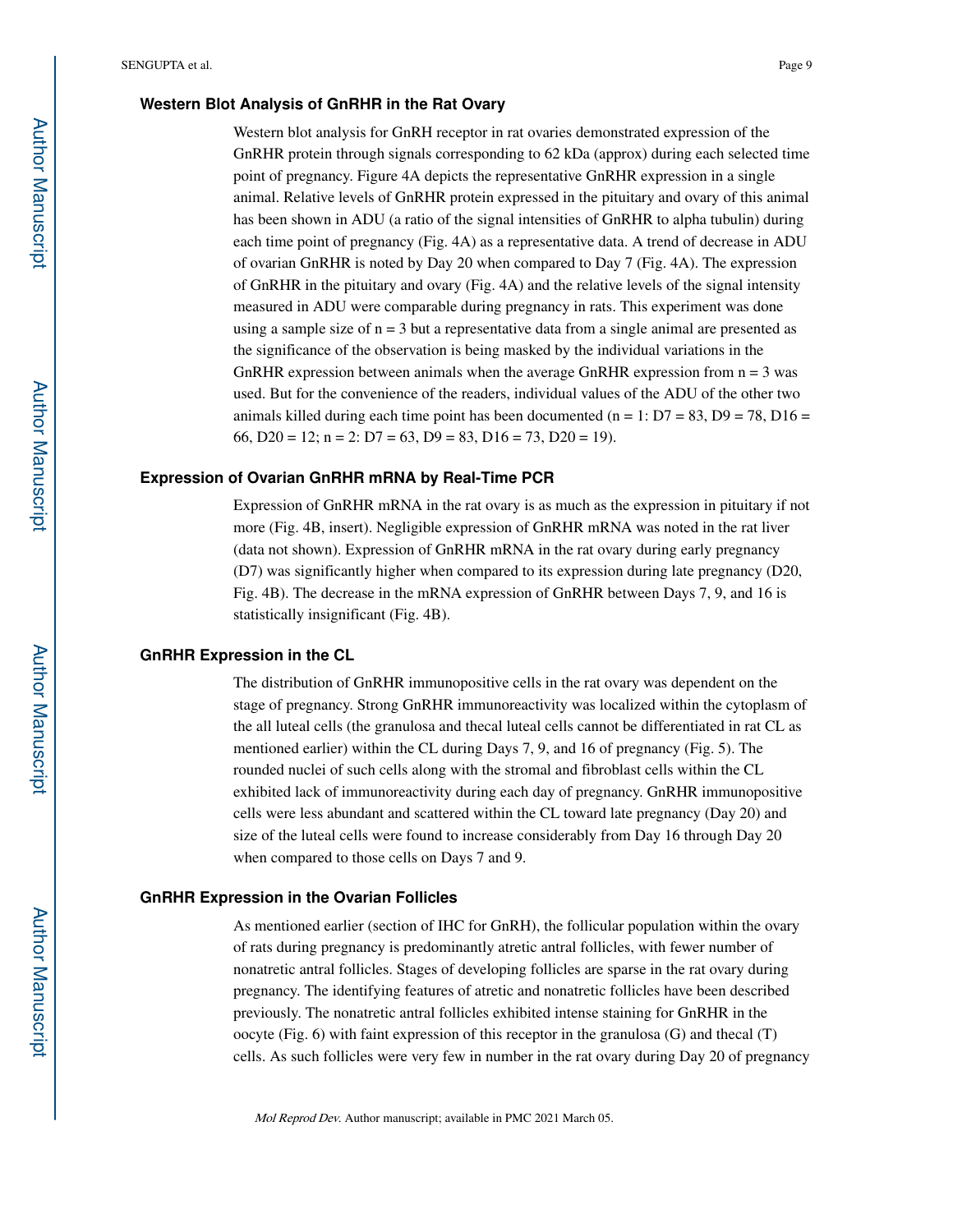#### **Western Blot Analysis of GnRHR in the Rat Ovary**

Western blot analysis for GnRH receptor in rat ovaries demonstrated expression of the GnRHR protein through signals corresponding to 62 kDa (approx) during each selected time point of pregnancy. Figure 4A depicts the representative GnRHR expression in a single animal. Relative levels of GnRHR protein expressed in the pituitary and ovary of this animal has been shown in ADU (a ratio of the signal intensities of GnRHR to alpha tubulin) during each time point of pregnancy (Fig. 4A) as a representative data. A trend of decrease in ADU of ovarian GnRHR is noted by Day 20 when compared to Day 7 (Fig. 4A). The expression of GnRHR in the pituitary and ovary (Fig. 4A) and the relative levels of the signal intensity measured in ADU were comparable during pregnancy in rats. This experiment was done using a sample size of  $n = 3$  but a representative data from a single animal are presented as the significance of the observation is being masked by the individual variations in the GnRHR expression between animals when the average GnRHR expression from  $n = 3$  was used. But for the convenience of the readers, individual values of the ADU of the other two animals killed during each time point has been documented ( $n = 1: D7 = 83$ ,  $D9 = 78$ ,  $D16 =$ 66, D20 = 12; n = 2: D7 = 63, D9 = 83, D16 = 73, D20 = 19).

#### **Expression of Ovarian GnRHR mRNA by Real-Time PCR**

Expression of GnRHR mRNA in the rat ovary is as much as the expression in pituitary if not more (Fig. 4B, insert). Negligible expression of GnRHR mRNA was noted in the rat liver (data not shown). Expression of GnRHR mRNA in the rat ovary during early pregnancy (D7) was significantly higher when compared to its expression during late pregnancy (D20, Fig. 4B). The decrease in the mRNA expression of GnRHR between Days 7, 9, and 16 is statistically insignificant (Fig. 4B).

#### **GnRHR Expression in the CL**

The distribution of GnRHR immunopositive cells in the rat ovary was dependent on the stage of pregnancy. Strong GnRHR immunoreactivity was localized within the cytoplasm of the all luteal cells (the granulosa and thecal luteal cells cannot be differentiated in rat CL as mentioned earlier) within the CL during Days 7, 9, and 16 of pregnancy (Fig. 5). The rounded nuclei of such cells along with the stromal and fibroblast cells within the CL exhibited lack of immunoreactivity during each day of pregnancy. GnRHR immunopositive cells were less abundant and scattered within the CL toward late pregnancy (Day 20) and size of the luteal cells were found to increase considerably from Day 16 through Day 20 when compared to those cells on Days 7 and 9.

#### **GnRHR Expression in the Ovarian Follicles**

As mentioned earlier (section of IHC for GnRH), the follicular population within the ovary of rats during pregnancy is predominantly atretic antral follicles, with fewer number of nonatretic antral follicles. Stages of developing follicles are sparse in the rat ovary during pregnancy. The identifying features of atretic and nonatretic follicles have been described previously. The nonatretic antral follicles exhibited intense staining for GnRHR in the oocyte (Fig. 6) with faint expression of this receptor in the granulosa (G) and thecal (T) cells. As such follicles were very few in number in the rat ovary during Day 20 of pregnancy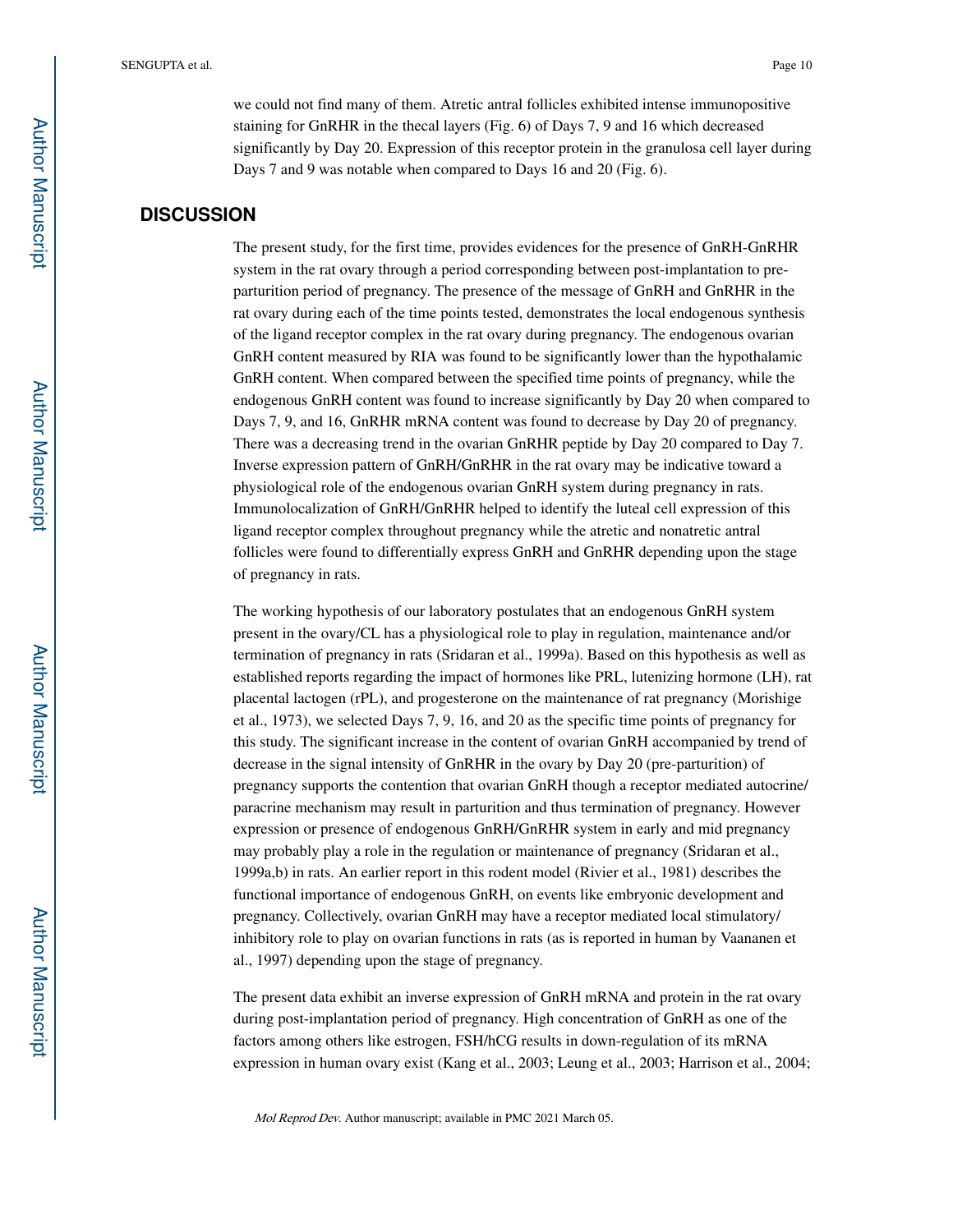we could not find many of them. Atretic antral follicles exhibited intense immunopositive staining for GnRHR in the thecal layers (Fig. 6) of Days 7, 9 and 16 which decreased significantly by Day 20. Expression of this receptor protein in the granulosa cell layer during Days 7 and 9 was notable when compared to Days 16 and 20 (Fig. 6).

# **DISCUSSION**

The present study, for the first time, provides evidences for the presence of GnRH-GnRHR system in the rat ovary through a period corresponding between post-implantation to preparturition period of pregnancy. The presence of the message of GnRH and GnRHR in the rat ovary during each of the time points tested, demonstrates the local endogenous synthesis of the ligand receptor complex in the rat ovary during pregnancy. The endogenous ovarian GnRH content measured by RIA was found to be significantly lower than the hypothalamic GnRH content. When compared between the specified time points of pregnancy, while the endogenous GnRH content was found to increase significantly by Day 20 when compared to Days 7, 9, and 16, GnRHR mRNA content was found to decrease by Day 20 of pregnancy. There was a decreasing trend in the ovarian GnRHR peptide by Day 20 compared to Day 7. Inverse expression pattern of GnRH/GnRHR in the rat ovary may be indicative toward a physiological role of the endogenous ovarian GnRH system during pregnancy in rats. Immunolocalization of GnRH/GnRHR helped to identify the luteal cell expression of this ligand receptor complex throughout pregnancy while the atretic and nonatretic antral follicles were found to differentially express GnRH and GnRHR depending upon the stage of pregnancy in rats.

The working hypothesis of our laboratory postulates that an endogenous GnRH system present in the ovary/CL has a physiological role to play in regulation, maintenance and/or termination of pregnancy in rats (Sridaran et al., 1999a). Based on this hypothesis as well as established reports regarding the impact of hormones like PRL, lutenizing hormone (LH), rat placental lactogen (rPL), and progesterone on the maintenance of rat pregnancy (Morishige et al., 1973), we selected Days 7, 9, 16, and 20 as the specific time points of pregnancy for this study. The significant increase in the content of ovarian GnRH accompanied by trend of decrease in the signal intensity of GnRHR in the ovary by Day 20 (pre-parturition) of pregnancy supports the contention that ovarian GnRH though a receptor mediated autocrine/ paracrine mechanism may result in parturition and thus termination of pregnancy. However expression or presence of endogenous GnRH/GnRHR system in early and mid pregnancy may probably play a role in the regulation or maintenance of pregnancy (Sridaran et al., 1999a,b) in rats. An earlier report in this rodent model (Rivier et al., 1981) describes the functional importance of endogenous GnRH, on events like embryonic development and pregnancy. Collectively, ovarian GnRH may have a receptor mediated local stimulatory/ inhibitory role to play on ovarian functions in rats (as is reported in human by Vaananen et al., 1997) depending upon the stage of pregnancy.

The present data exhibit an inverse expression of GnRH mRNA and protein in the rat ovary during post-implantation period of pregnancy. High concentration of GnRH as one of the factors among others like estrogen, FSH/hCG results in down-regulation of its mRNA expression in human ovary exist (Kang et al., 2003; Leung et al., 2003; Harrison et al., 2004;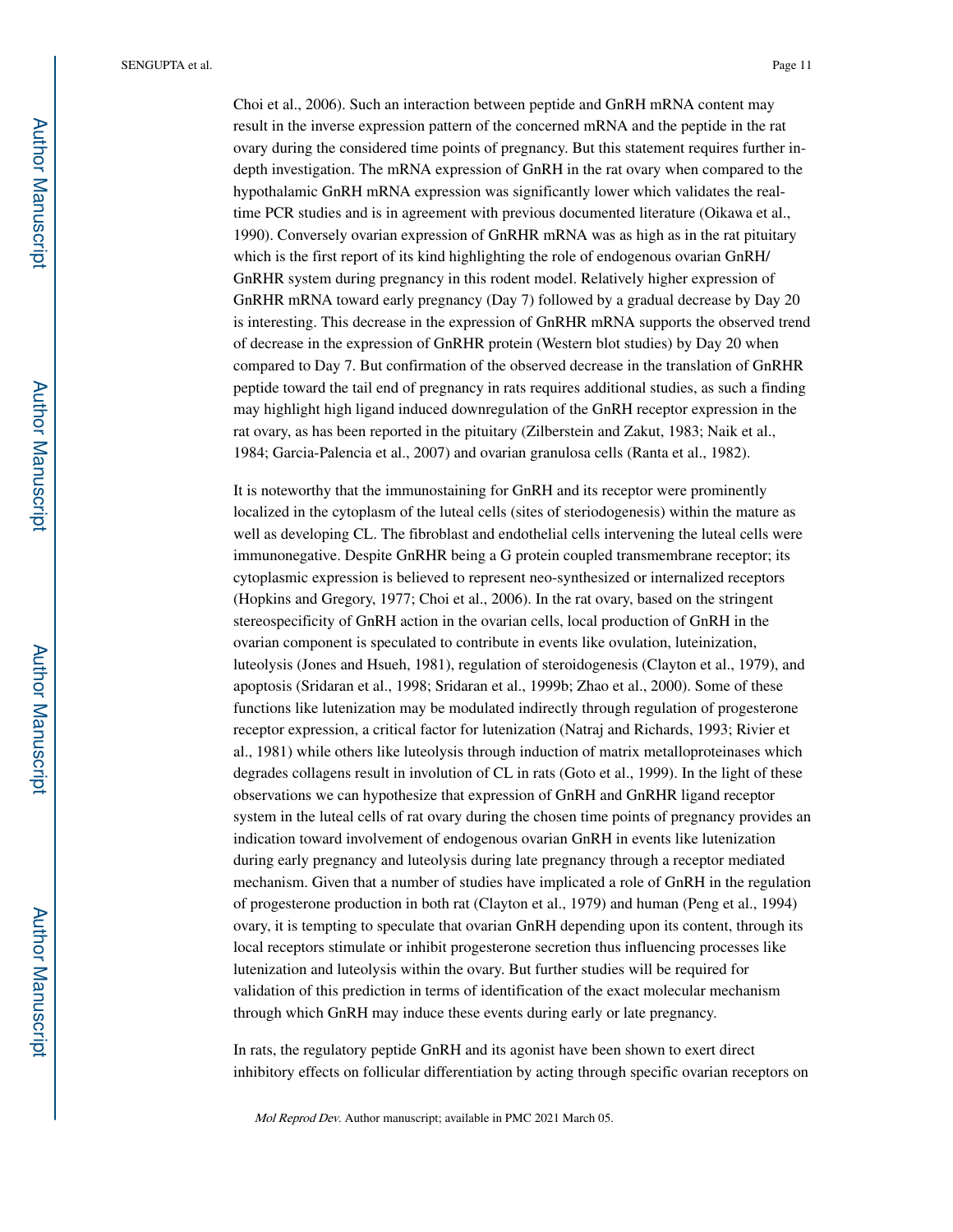Choi et al., 2006). Such an interaction between peptide and GnRH mRNA content may result in the inverse expression pattern of the concerned mRNA and the peptide in the rat ovary during the considered time points of pregnancy. But this statement requires further indepth investigation. The mRNA expression of GnRH in the rat ovary when compared to the hypothalamic GnRH mRNA expression was significantly lower which validates the realtime PCR studies and is in agreement with previous documented literature (Oikawa et al., 1990). Conversely ovarian expression of GnRHR mRNA was as high as in the rat pituitary which is the first report of its kind highlighting the role of endogenous ovarian GnRH/ GnRHR system during pregnancy in this rodent model. Relatively higher expression of GnRHR mRNA toward early pregnancy (Day 7) followed by a gradual decrease by Day 20 is interesting. This decrease in the expression of GnRHR mRNA supports the observed trend of decrease in the expression of GnRHR protein (Western blot studies) by Day 20 when compared to Day 7. But confirmation of the observed decrease in the translation of GnRHR peptide toward the tail end of pregnancy in rats requires additional studies, as such a finding may highlight high ligand induced downregulation of the GnRH receptor expression in the rat ovary, as has been reported in the pituitary (Zilberstein and Zakut, 1983; Naik et al., 1984; Garcia-Palencia et al., 2007) and ovarian granulosa cells (Ranta et al., 1982).

It is noteworthy that the immunostaining for GnRH and its receptor were prominently localized in the cytoplasm of the luteal cells (sites of steriodogenesis) within the mature as well as developing CL. The fibroblast and endothelial cells intervening the luteal cells were immunonegative. Despite GnRHR being a G protein coupled transmembrane receptor; its cytoplasmic expression is believed to represent neo-synthesized or internalized receptors (Hopkins and Gregory, 1977; Choi et al., 2006). In the rat ovary, based on the stringent stereospecificity of GnRH action in the ovarian cells, local production of GnRH in the ovarian component is speculated to contribute in events like ovulation, luteinization, luteolysis (Jones and Hsueh, 1981), regulation of steroidogenesis (Clayton et al., 1979), and apoptosis (Sridaran et al., 1998; Sridaran et al., 1999b; Zhao et al., 2000). Some of these functions like lutenization may be modulated indirectly through regulation of progesterone receptor expression, a critical factor for lutenization (Natraj and Richards, 1993; Rivier et al., 1981) while others like luteolysis through induction of matrix metalloproteinases which degrades collagens result in involution of CL in rats (Goto et al., 1999). In the light of these observations we can hypothesize that expression of GnRH and GnRHR ligand receptor system in the luteal cells of rat ovary during the chosen time points of pregnancy provides an indication toward involvement of endogenous ovarian GnRH in events like lutenization during early pregnancy and luteolysis during late pregnancy through a receptor mediated mechanism. Given that a number of studies have implicated a role of GnRH in the regulation of progesterone production in both rat (Clayton et al., 1979) and human (Peng et al., 1994) ovary, it is tempting to speculate that ovarian GnRH depending upon its content, through its local receptors stimulate or inhibit progesterone secretion thus influencing processes like lutenization and luteolysis within the ovary. But further studies will be required for validation of this prediction in terms of identification of the exact molecular mechanism through which GnRH may induce these events during early or late pregnancy.

In rats, the regulatory peptide GnRH and its agonist have been shown to exert direct inhibitory effects on follicular differentiation by acting through specific ovarian receptors on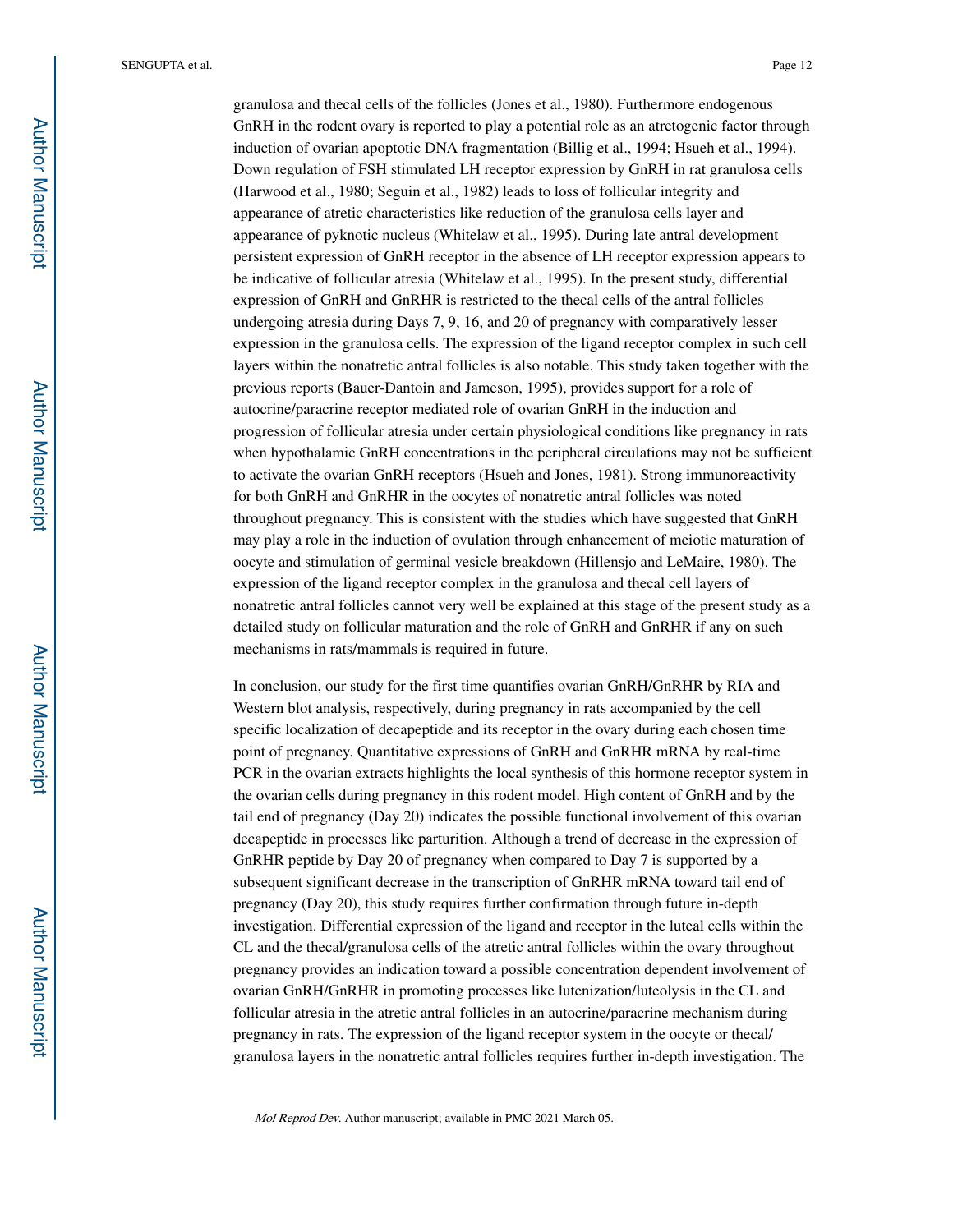granulosa and thecal cells of the follicles (Jones et al., 1980). Furthermore endogenous GnRH in the rodent ovary is reported to play a potential role as an atretogenic factor through induction of ovarian apoptotic DNA fragmentation (Billig et al., 1994; Hsueh et al., 1994). Down regulation of FSH stimulated LH receptor expression by GnRH in rat granulosa cells (Harwood et al., 1980; Seguin et al., 1982) leads to loss of follicular integrity and appearance of atretic characteristics like reduction of the granulosa cells layer and appearance of pyknotic nucleus (Whitelaw et al., 1995). During late antral development persistent expression of GnRH receptor in the absence of LH receptor expression appears to be indicative of follicular atresia (Whitelaw et al., 1995). In the present study, differential expression of GnRH and GnRHR is restricted to the thecal cells of the antral follicles undergoing atresia during Days 7, 9, 16, and 20 of pregnancy with comparatively lesser expression in the granulosa cells. The expression of the ligand receptor complex in such cell layers within the nonatretic antral follicles is also notable. This study taken together with the previous reports (Bauer-Dantoin and Jameson, 1995), provides support for a role of autocrine/paracrine receptor mediated role of ovarian GnRH in the induction and progression of follicular atresia under certain physiological conditions like pregnancy in rats when hypothalamic GnRH concentrations in the peripheral circulations may not be sufficient to activate the ovarian GnRH receptors (Hsueh and Jones, 1981). Strong immunoreactivity for both GnRH and GnRHR in the oocytes of nonatretic antral follicles was noted throughout pregnancy. This is consistent with the studies which have suggested that GnRH may play a role in the induction of ovulation through enhancement of meiotic maturation of oocyte and stimulation of germinal vesicle breakdown (Hillensjo and LeMaire, 1980). The expression of the ligand receptor complex in the granulosa and thecal cell layers of nonatretic antral follicles cannot very well be explained at this stage of the present study as a detailed study on follicular maturation and the role of GnRH and GnRHR if any on such mechanisms in rats/mammals is required in future.

In conclusion, our study for the first time quantifies ovarian GnRH/GnRHR by RIA and Western blot analysis, respectively, during pregnancy in rats accompanied by the cell specific localization of decapeptide and its receptor in the ovary during each chosen time point of pregnancy. Quantitative expressions of GnRH and GnRHR mRNA by real-time PCR in the ovarian extracts highlights the local synthesis of this hormone receptor system in the ovarian cells during pregnancy in this rodent model. High content of GnRH and by the tail end of pregnancy (Day 20) indicates the possible functional involvement of this ovarian decapeptide in processes like parturition. Although a trend of decrease in the expression of GnRHR peptide by Day 20 of pregnancy when compared to Day 7 is supported by a subsequent significant decrease in the transcription of GnRHR mRNA toward tail end of pregnancy (Day 20), this study requires further confirmation through future in-depth investigation. Differential expression of the ligand and receptor in the luteal cells within the CL and the thecal/granulosa cells of the atretic antral follicles within the ovary throughout pregnancy provides an indication toward a possible concentration dependent involvement of ovarian GnRH/GnRHR in promoting processes like lutenization/luteolysis in the CL and follicular atresia in the atretic antral follicles in an autocrine/paracrine mechanism during pregnancy in rats. The expression of the ligand receptor system in the oocyte or thecal/ granulosa layers in the nonatretic antral follicles requires further in-depth investigation. The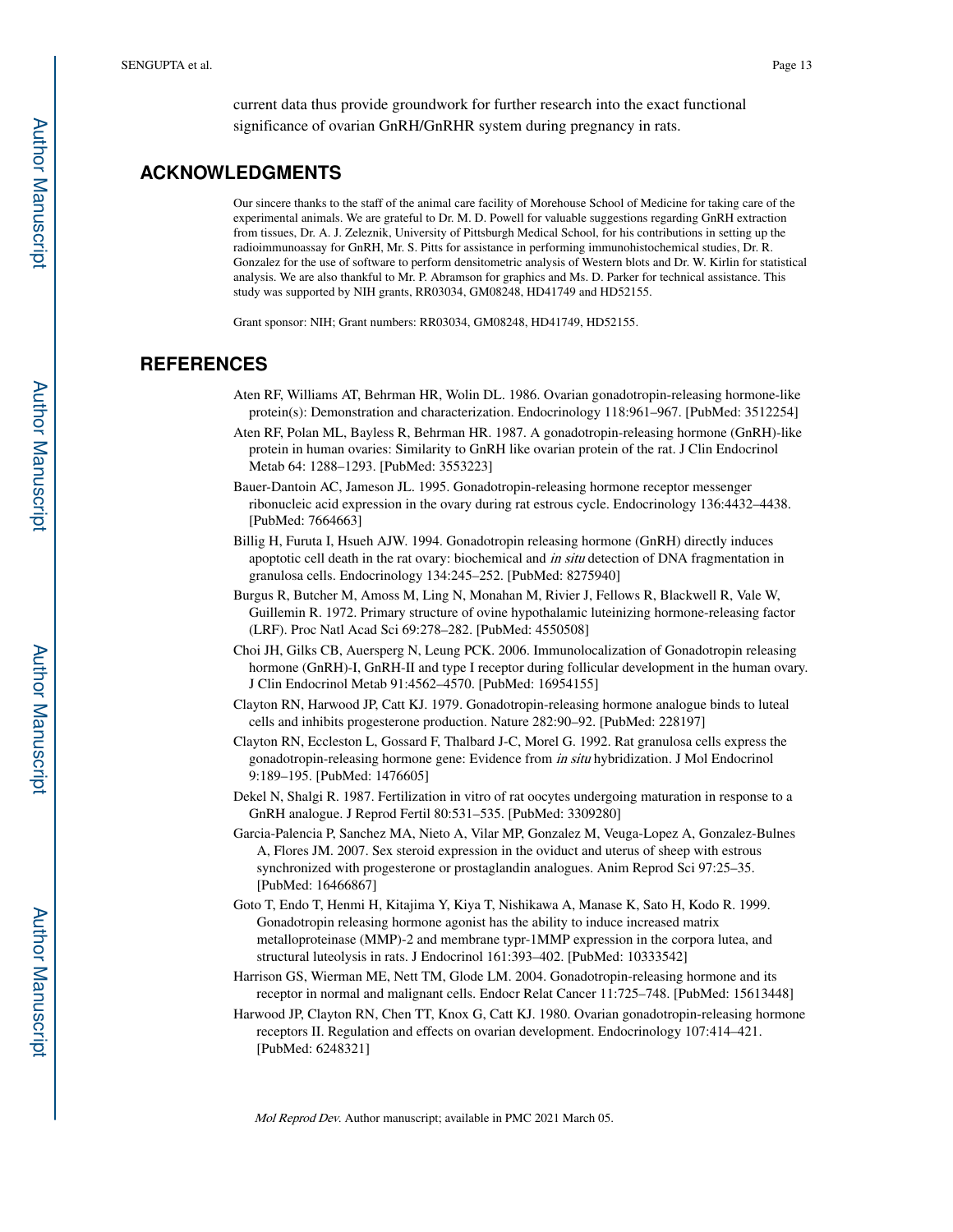current data thus provide groundwork for further research into the exact functional significance of ovarian GnRH/GnRHR system during pregnancy in rats.

# **ACKNOWLEDGMENTS**

Our sincere thanks to the staff of the animal care facility of Morehouse School of Medicine for taking care of the experimental animals. We are grateful to Dr. M. D. Powell for valuable suggestions regarding GnRH extraction from tissues, Dr. A. J. Zeleznik, University of Pittsburgh Medical School, for his contributions in setting up the radioimmunoassay for GnRH, Mr. S. Pitts for assistance in performing immunohistochemical studies, Dr. R. Gonzalez for the use of software to perform densitometric analysis of Western blots and Dr. W. Kirlin for statistical analysis. We are also thankful to Mr. P. Abramson for graphics and Ms. D. Parker for technical assistance. This study was supported by NIH grants, RR03034, GM08248, HD41749 and HD52155.

Grant sponsor: NIH; Grant numbers: RR03034, GM08248, HD41749, HD52155.

#### **REFERENCES**

- Aten RF, Williams AT, Behrman HR, Wolin DL. 1986. Ovarian gonadotropin-releasing hormone-like protein(s): Demonstration and characterization. Endocrinology 118:961–967. [PubMed: 3512254]
- Aten RF, Polan ML, Bayless R, Behrman HR. 1987. A gonadotropin-releasing hormone (GnRH)-like protein in human ovaries: Similarity to GnRH like ovarian protein of the rat. J Clin Endocrinol Metab 64: 1288–1293. [PubMed: 3553223]
- Bauer-Dantoin AC, Jameson JL. 1995. Gonadotropin-releasing hormone receptor messenger ribonucleic acid expression in the ovary during rat estrous cycle. Endocrinology 136:4432–4438. [PubMed: 7664663]
- Billig H, Furuta I, Hsueh AJW. 1994. Gonadotropin releasing hormone (GnRH) directly induces apoptotic cell death in the rat ovary: biochemical and in situ detection of DNA fragmentation in granulosa cells. Endocrinology 134:245–252. [PubMed: 8275940]
- Burgus R, Butcher M, Amoss M, Ling N, Monahan M, Rivier J, Fellows R, Blackwell R, Vale W, Guillemin R. 1972. Primary structure of ovine hypothalamic luteinizing hormone-releasing factor (LRF). Proc Natl Acad Sci 69:278–282. [PubMed: 4550508]
- Choi JH, Gilks CB, Auersperg N, Leung PCK. 2006. Immunolocalization of Gonadotropin releasing hormone (GnRH)-I, GnRH-II and type I receptor during follicular development in the human ovary. J Clin Endocrinol Metab 91:4562–4570. [PubMed: 16954155]
- Clayton RN, Harwood JP, Catt KJ. 1979. Gonadotropin-releasing hormone analogue binds to luteal cells and inhibits progesterone production. Nature 282:90–92. [PubMed: 228197]
- Clayton RN, Eccleston L, Gossard F, Thalbard J-C, Morel G. 1992. Rat granulosa cells express the gonadotropin-releasing hormone gene: Evidence from in situ hybridization. J Mol Endocrinol 9:189–195. [PubMed: 1476605]
- Dekel N, Shalgi R. 1987. Fertilization in vitro of rat oocytes undergoing maturation in response to a GnRH analogue. J Reprod Fertil 80:531–535. [PubMed: 3309280]
- Garcia-Palencia P, Sanchez MA, Nieto A, Vilar MP, Gonzalez M, Veuga-Lopez A, Gonzalez-Bulnes A, Flores JM. 2007. Sex steroid expression in the oviduct and uterus of sheep with estrous synchronized with progesterone or prostaglandin analogues. Anim Reprod Sci 97:25–35. [PubMed: 16466867]
- Goto T, Endo T, Henmi H, Kitajima Y, Kiya T, Nishikawa A, Manase K, Sato H, Kodo R. 1999. Gonadotropin releasing hormone agonist has the ability to induce increased matrix metalloproteinase (MMP)-2 and membrane typr-1MMP expression in the corpora lutea, and structural luteolysis in rats. J Endocrinol 161:393–402. [PubMed: 10333542]
- Harrison GS, Wierman ME, Nett TM, Glode LM. 2004. Gonadotropin-releasing hormone and its receptor in normal and malignant cells. Endocr Relat Cancer 11:725–748. [PubMed: 15613448]
- Harwood JP, Clayton RN, Chen TT, Knox G, Catt KJ. 1980. Ovarian gonadotropin-releasing hormone receptors II. Regulation and effects on ovarian development. Endocrinology 107:414–421. [PubMed: 6248321]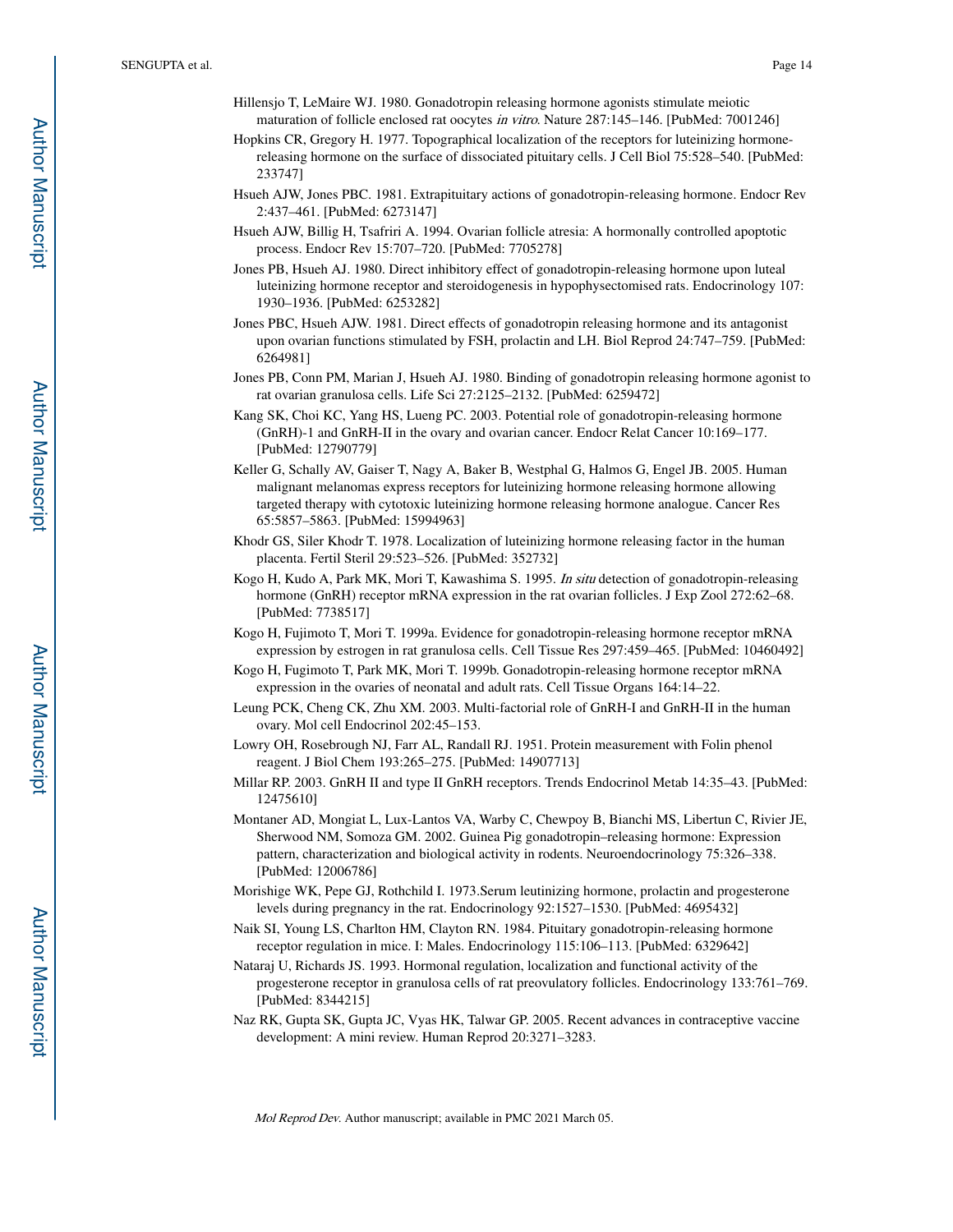- Hillensjo T, LeMaire WJ. 1980. Gonadotropin releasing hormone agonists stimulate meiotic maturation of follicle enclosed rat oocytes in vitro. Nature 287:145–146. [PubMed: 7001246]
- Hopkins CR, Gregory H. 1977. Topographical localization of the receptors for luteinizing hormonereleasing hormone on the surface of dissociated pituitary cells. J Cell Biol 75:528–540. [PubMed: 233747]
- Hsueh AJW, Jones PBC. 1981. Extrapituitary actions of gonadotropin-releasing hormone. Endocr Rev 2:437–461. [PubMed: 6273147]
- Hsueh AJW, Billig H, Tsafriri A. 1994. Ovarian follicle atresia: A hormonally controlled apoptotic process. Endocr Rev 15:707–720. [PubMed: 7705278]
- Jones PB, Hsueh AJ. 1980. Direct inhibitory effect of gonadotropin-releasing hormone upon luteal luteinizing hormone receptor and steroidogenesis in hypophysectomised rats. Endocrinology 107: 1930–1936. [PubMed: 6253282]
- Jones PBC, Hsueh AJW. 1981. Direct effects of gonadotropin releasing hormone and its antagonist upon ovarian functions stimulated by FSH, prolactin and LH. Biol Reprod 24:747–759. [PubMed: 6264981]
- Jones PB, Conn PM, Marian J, Hsueh AJ. 1980. Binding of gonadotropin releasing hormone agonist to rat ovarian granulosa cells. Life Sci 27:2125–2132. [PubMed: 6259472]
- Kang SK, Choi KC, Yang HS, Lueng PC. 2003. Potential role of gonadotropin-releasing hormone (GnRH)-1 and GnRH-II in the ovary and ovarian cancer. Endocr Relat Cancer 10:169–177. [PubMed: 12790779]
- Keller G, Schally AV, Gaiser T, Nagy A, Baker B, Westphal G, Halmos G, Engel JB. 2005. Human malignant melanomas express receptors for luteinizing hormone releasing hormone allowing targeted therapy with cytotoxic luteinizing hormone releasing hormone analogue. Cancer Res 65:5857–5863. [PubMed: 15994963]
- Khodr GS, Siler Khodr T. 1978. Localization of luteinizing hormone releasing factor in the human placenta. Fertil Steril 29:523–526. [PubMed: 352732]
- Kogo H, Kudo A, Park MK, Mori T, Kawashima S. 1995. In situ detection of gonadotropin-releasing hormone (GnRH) receptor mRNA expression in the rat ovarian follicles. J Exp Zool 272:62–68. [PubMed: 7738517]
- Kogo H, Fujimoto T, Mori T. 1999a. Evidence for gonadotropin-releasing hormone receptor mRNA expression by estrogen in rat granulosa cells. Cell Tissue Res 297:459–465. [PubMed: 10460492]
- Kogo H, Fugimoto T, Park MK, Mori T. 1999b. Gonadotropin-releasing hormone receptor mRNA expression in the ovaries of neonatal and adult rats. Cell Tissue Organs 164:14–22.
- Leung PCK, Cheng CK, Zhu XM. 2003. Multi-factorial role of GnRH-I and GnRH-II in the human ovary. Mol cell Endocrinol 202:45–153.
- Lowry OH, Rosebrough NJ, Farr AL, Randall RJ. 1951. Protein measurement with Folin phenol reagent. J Biol Chem 193:265–275. [PubMed: 14907713]
- Millar RP. 2003. GnRH II and type II GnRH receptors. Trends Endocrinol Metab 14:35–43. [PubMed: 12475610]
- Montaner AD, Mongiat L, Lux-Lantos VA, Warby C, Chewpoy B, Bianchi MS, Libertun C, Rivier JE, Sherwood NM, Somoza GM. 2002. Guinea Pig gonadotropin–releasing hormone: Expression pattern, characterization and biological activity in rodents. Neuroendocrinology 75:326–338. [PubMed: 12006786]
- Morishige WK, Pepe GJ, Rothchild I. 1973.Serum leutinizing hormone, prolactin and progesterone levels during pregnancy in the rat. Endocrinology 92:1527–1530. [PubMed: 4695432]
- Naik SI, Young LS, Charlton HM, Clayton RN. 1984. Pituitary gonadotropin-releasing hormone receptor regulation in mice. I: Males. Endocrinology 115:106–113. [PubMed: 6329642]
- Nataraj U, Richards JS. 1993. Hormonal regulation, localization and functional activity of the progesterone receptor in granulosa cells of rat preovulatory follicles. Endocrinology 133:761–769. [PubMed: 8344215]
- Naz RK, Gupta SK, Gupta JC, Vyas HK, Talwar GP. 2005. Recent advances in contraceptive vaccine development: A mini review. Human Reprod 20:3271–3283.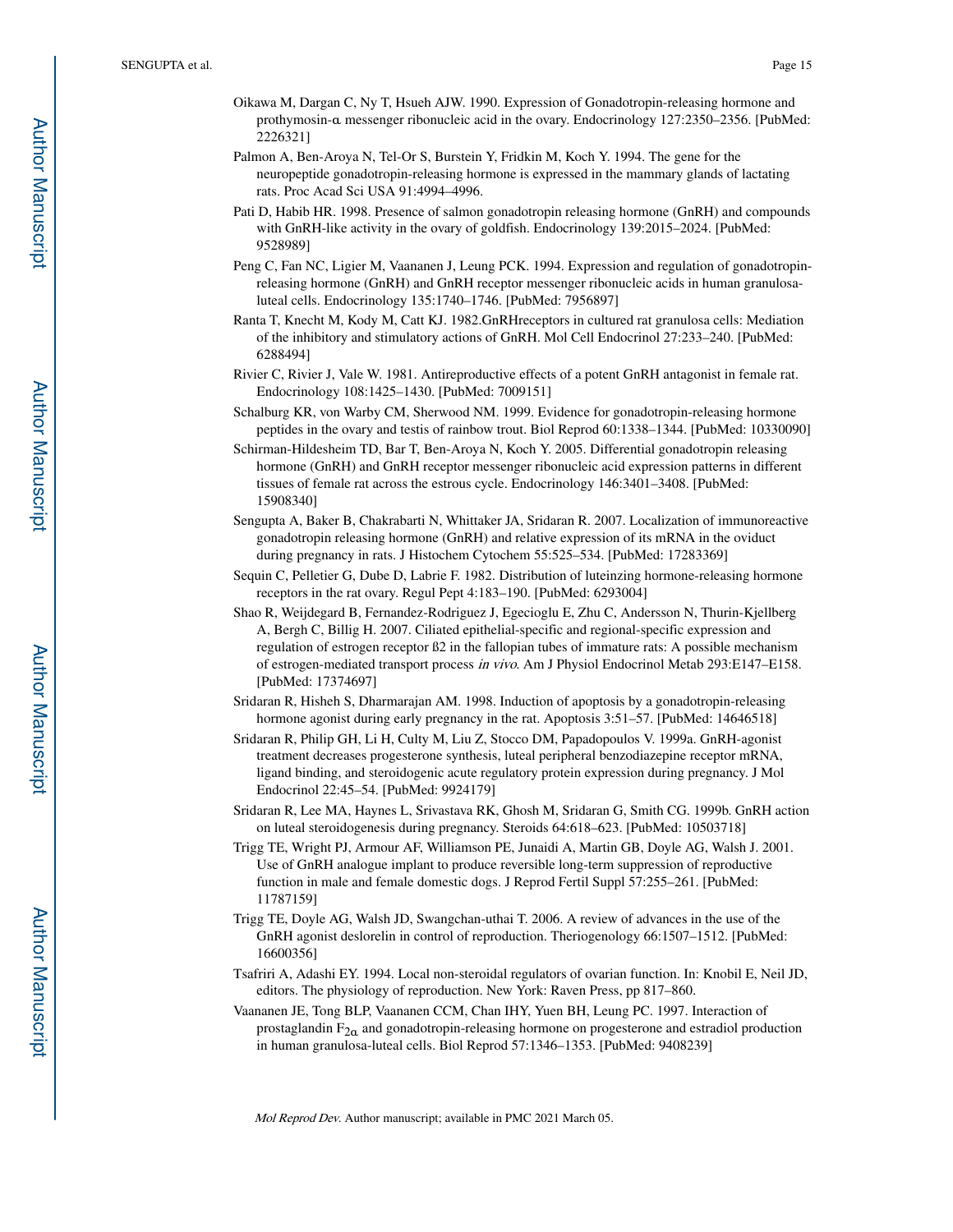- Oikawa M, Dargan C, Ny T, Hsueh AJW. 1990. Expression of Gonadotropin-releasing hormone and prothymosin-α messenger ribonucleic acid in the ovary. Endocrinology 127:2350–2356. [PubMed: 2226321]
- Palmon A, Ben-Aroya N, Tel-Or S, Burstein Y, Fridkin M, Koch Y. 1994. The gene for the neuropeptide gonadotropin-releasing hormone is expressed in the mammary glands of lactating rats. Proc Acad Sci USA 91:4994–4996.
- Pati D, Habib HR. 1998. Presence of salmon gonadotropin releasing hormone (GnRH) and compounds with GnRH-like activity in the ovary of goldfish. Endocrinology 139:2015–2024. [PubMed: 9528989]
- Peng C, Fan NC, Ligier M, Vaananen J, Leung PCK. 1994. Expression and regulation of gonadotropinreleasing hormone (GnRH) and GnRH receptor messenger ribonucleic acids in human granulosaluteal cells. Endocrinology 135:1740–1746. [PubMed: 7956897]
- Ranta T, Knecht M, Kody M, Catt KJ. 1982.GnRHreceptors in cultured rat granulosa cells: Mediation of the inhibitory and stimulatory actions of GnRH. Mol Cell Endocrinol 27:233–240. [PubMed: 6288494]
- Rivier C, Rivier J, Vale W. 1981. Antireproductive effects of a potent GnRH antagonist in female rat. Endocrinology 108:1425–1430. [PubMed: 7009151]
- Schalburg KR, von Warby CM, Sherwood NM. 1999. Evidence for gonadotropin-releasing hormone peptides in the ovary and testis of rainbow trout. Biol Reprod 60:1338–1344. [PubMed: 10330090]
- Schirman-Hildesheim TD, Bar T, Ben-Aroya N, Koch Y. 2005. Differential gonadotropin releasing hormone (GnRH) and GnRH receptor messenger ribonucleic acid expression patterns in different tissues of female rat across the estrous cycle. Endocrinology 146:3401–3408. [PubMed: 15908340]
- Sengupta A, Baker B, Chakrabarti N, Whittaker JA, Sridaran R. 2007. Localization of immunoreactive gonadotropin releasing hormone (GnRH) and relative expression of its mRNA in the oviduct during pregnancy in rats. J Histochem Cytochem 55:525–534. [PubMed: 17283369]
- Sequin C, Pelletier G, Dube D, Labrie F. 1982. Distribution of luteinzing hormone-releasing hormone receptors in the rat ovary. Regul Pept 4:183–190. [PubMed: 6293004]
- Shao R, Weijdegard B, Fernandez-Rodriguez J, Egecioglu E, Zhu C, Andersson N, Thurin-Kjellberg A, Bergh C, Billig H. 2007. Ciliated epithelial-specific and regional-specific expression and regulation of estrogen receptor ß2 in the fallopian tubes of immature rats: A possible mechanism of estrogen-mediated transport process in vivo. Am J Physiol Endocrinol Metab 293:E147–E158. [PubMed: 17374697]
- Sridaran R, Hisheh S, Dharmarajan AM. 1998. Induction of apoptosis by a gonadotropin-releasing hormone agonist during early pregnancy in the rat. Apoptosis 3:51–57. [PubMed: 14646518]
- Sridaran R, Philip GH, Li H, Culty M, Liu Z, Stocco DM, Papadopoulos V. 1999a. GnRH-agonist treatment decreases progesterone synthesis, luteal peripheral benzodiazepine receptor mRNA, ligand binding, and steroidogenic acute regulatory protein expression during pregnancy. J Mol Endocrinol 22:45–54. [PubMed: 9924179]
- Sridaran R, Lee MA, Haynes L, Srivastava RK, Ghosh M, Sridaran G, Smith CG. 1999b. GnRH action on luteal steroidogenesis during pregnancy. Steroids 64:618–623. [PubMed: 10503718]
- Trigg TE, Wright PJ, Armour AF, Williamson PE, Junaidi A, Martin GB, Doyle AG, Walsh J. 2001. Use of GnRH analogue implant to produce reversible long-term suppression of reproductive function in male and female domestic dogs. J Reprod Fertil Suppl 57:255–261. [PubMed: 11787159]
- Trigg TE, Doyle AG, Walsh JD, Swangchan-uthai T. 2006. A review of advances in the use of the GnRH agonist deslorelin in control of reproduction. Theriogenology 66:1507–1512. [PubMed: 16600356]
- Tsafriri A, Adashi EY. 1994. Local non-steroidal regulators of ovarian function. In: Knobil E, Neil JD, editors. The physiology of reproduction. New York: Raven Press, pp 817–860.
- Vaananen JE, Tong BLP, Vaananen CCM, Chan IHY, Yuen BH, Leung PC. 1997. Interaction of prostaglandin  $F_{2n}$  and gonadotropin-releasing hormone on progesterone and estradiol production in human granulosa-luteal cells. Biol Reprod 57:1346–1353. [PubMed: 9408239]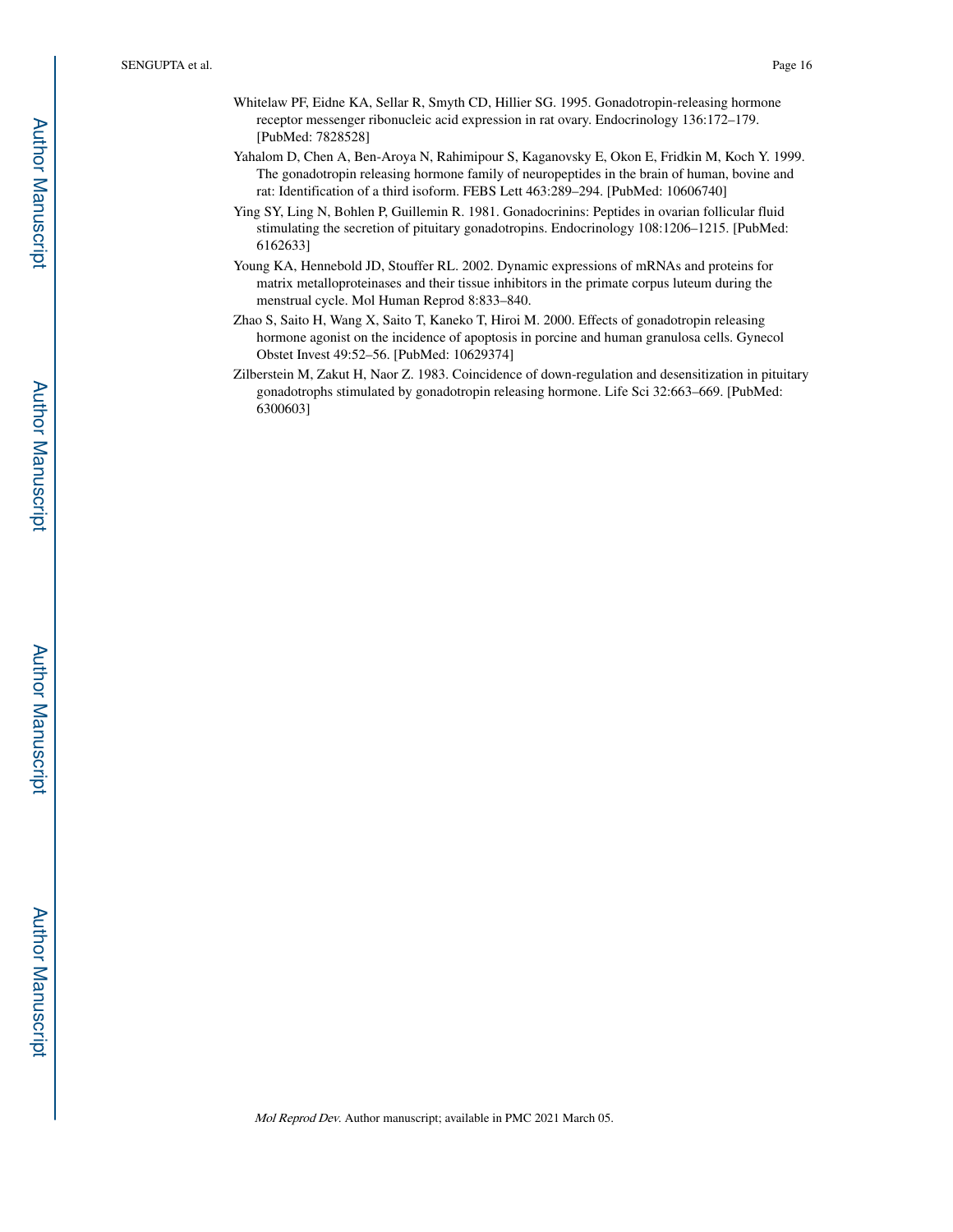- Whitelaw PF, Eidne KA, Sellar R, Smyth CD, Hillier SG. 1995. Gonadotropin-releasing hormone receptor messenger ribonucleic acid expression in rat ovary. Endocrinology 136:172–179. [PubMed: 7828528]
- Yahalom D, Chen A, Ben-Aroya N, Rahimipour S, Kaganovsky E, Okon E, Fridkin M, Koch Y. 1999. The gonadotropin releasing hormone family of neuropeptides in the brain of human, bovine and rat: Identification of a third isoform. FEBS Lett 463:289–294. [PubMed: 10606740]
- Ying SY, Ling N, Bohlen P, Guillemin R. 1981. Gonadocrinins: Peptides in ovarian follicular fluid stimulating the secretion of pituitary gonadotropins. Endocrinology 108:1206–1215. [PubMed: 6162633]
- Young KA, Hennebold JD, Stouffer RL. 2002. Dynamic expressions of mRNAs and proteins for matrix metalloproteinases and their tissue inhibitors in the primate corpus luteum during the menstrual cycle. Mol Human Reprod 8:833–840.
- Zhao S, Saito H, Wang X, Saito T, Kaneko T, Hiroi M. 2000. Effects of gonadotropin releasing hormone agonist on the incidence of apoptosis in porcine and human granulosa cells. Gynecol Obstet Invest 49:52–56. [PubMed: 10629374]
- Zilberstein M, Zakut H, Naor Z. 1983. Coincidence of down-regulation and desensitization in pituitary gonadotrophs stimulated by gonadotropin releasing hormone. Life Sci 32:663–669. [PubMed: 6300603]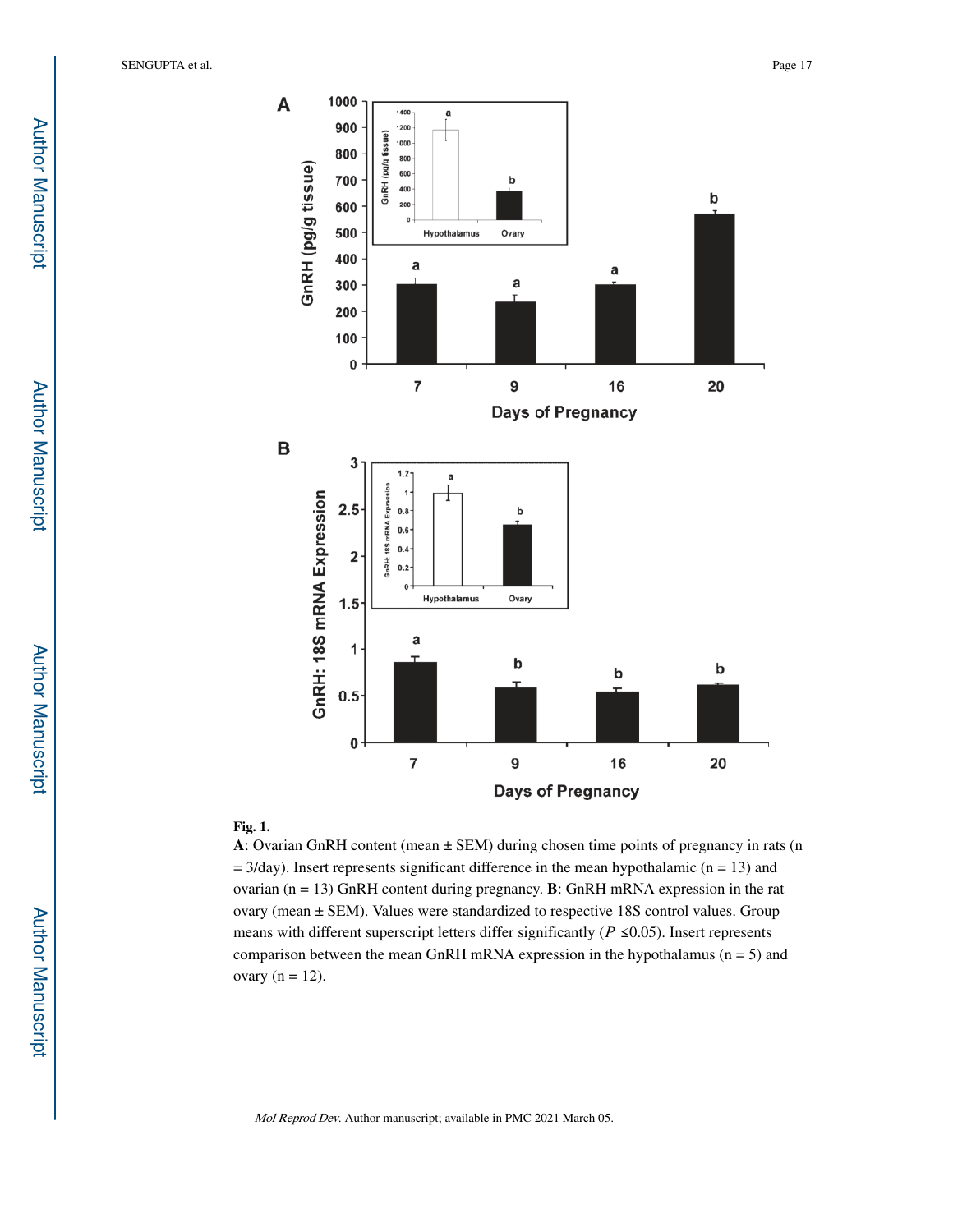

#### **Fig. 1.**

**A**: Ovarian GnRH content (mean  $\pm$  SEM) during chosen time points of pregnancy in rats (n  $= 3$ /day). Insert represents significant difference in the mean hypothalamic (n = 13) and ovarian (n = 13) GnRH content during pregnancy. **B**: GnRH mRNA expression in the rat ovary (mean ± SEM). Values were standardized to respective 18S control values. Group means with different superscript letters differ significantly ( $P \le 0.05$ ). Insert represents comparison between the mean GnRH mRNA expression in the hypothalamus ( $n = 5$ ) and ovary  $(n = 12)$ .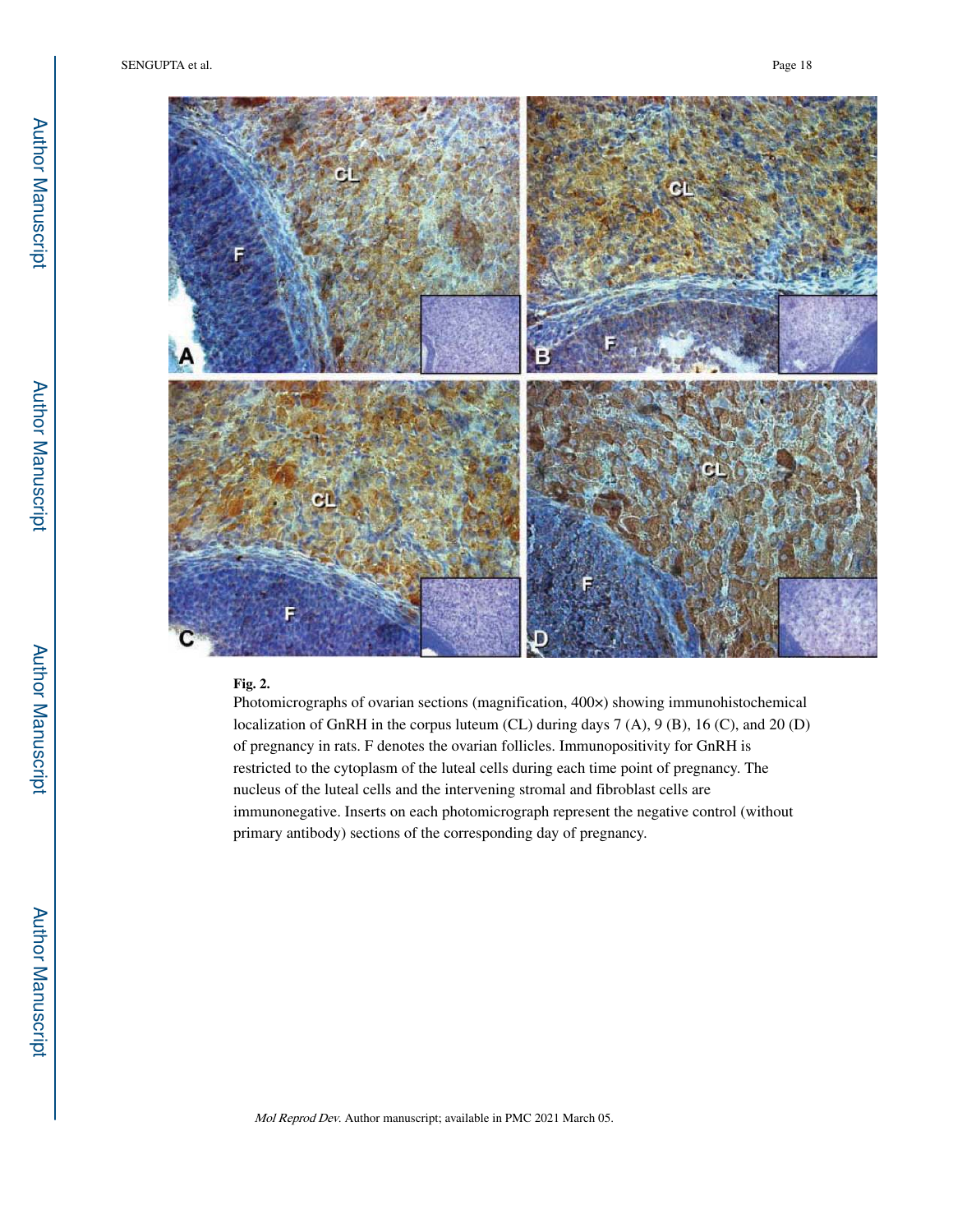SENGUPTA et al. Page 18



#### **Fig. 2.**

Photomicrographs of ovarian sections (magnification, 400×) showing immunohistochemical localization of GnRH in the corpus luteum (CL) during days 7 (A), 9 (B), 16 (C), and 20 (D) of pregnancy in rats. F denotes the ovarian follicles. Immunopositivity for GnRH is restricted to the cytoplasm of the luteal cells during each time point of pregnancy. The nucleus of the luteal cells and the intervening stromal and fibroblast cells are immunonegative. Inserts on each photomicrograph represent the negative control (without primary antibody) sections of the corresponding day of pregnancy.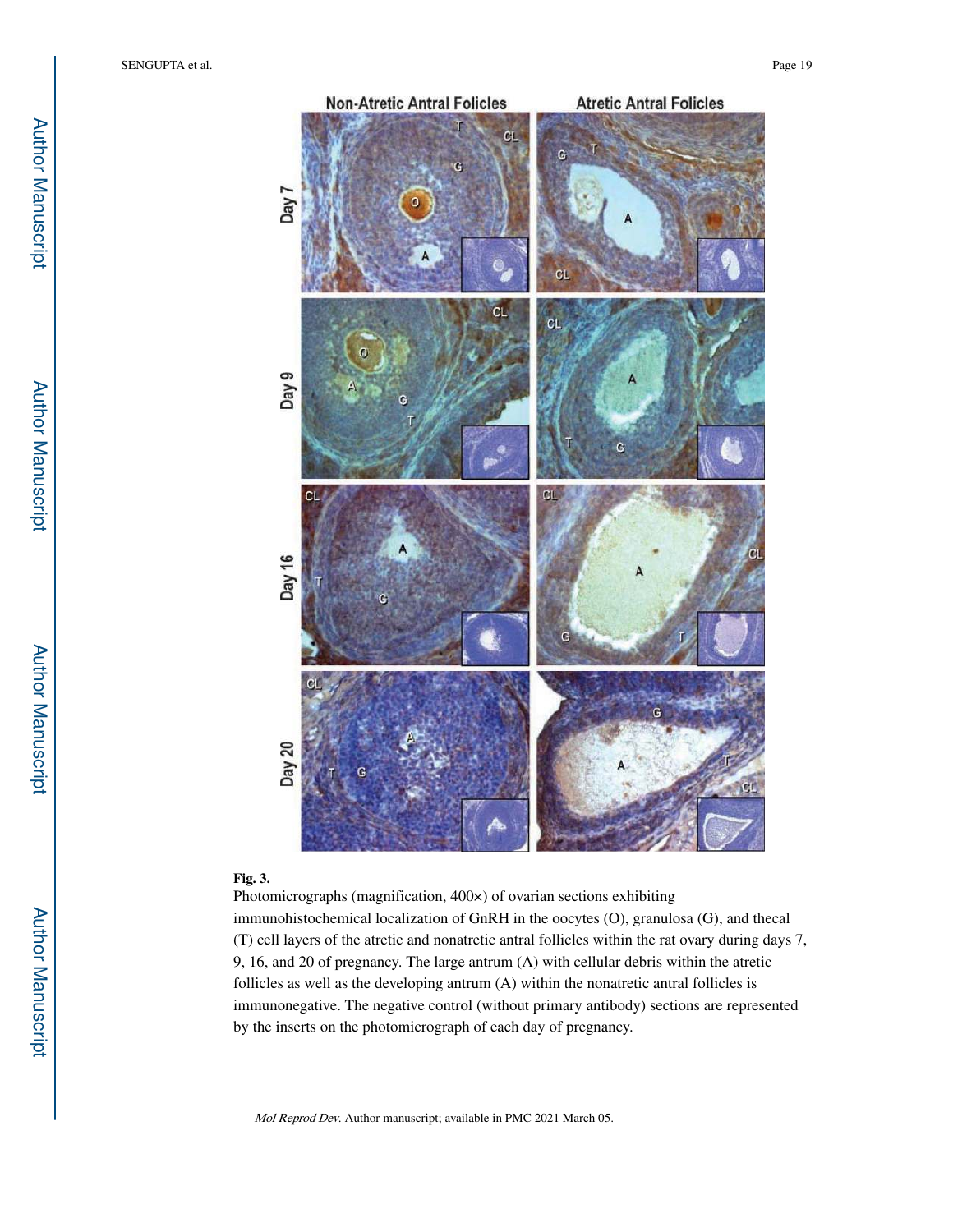Author Manuscript Author Manuscript

 Author Manuscript**Author Manuscript** 



#### **Fig. 3.**

Photomicrographs (magnification, 400×) of ovarian sections exhibiting immunohistochemical localization of GnRH in the oocytes (O), granulosa (G), and thecal (T) cell layers of the atretic and nonatretic antral follicles within the rat ovary during days 7, 9, 16, and 20 of pregnancy. The large antrum (A) with cellular debris within the atretic follicles as well as the developing antrum (A) within the nonatretic antral follicles is immunonegative. The negative control (without primary antibody) sections are represented by the inserts on the photomicrograph of each day of pregnancy.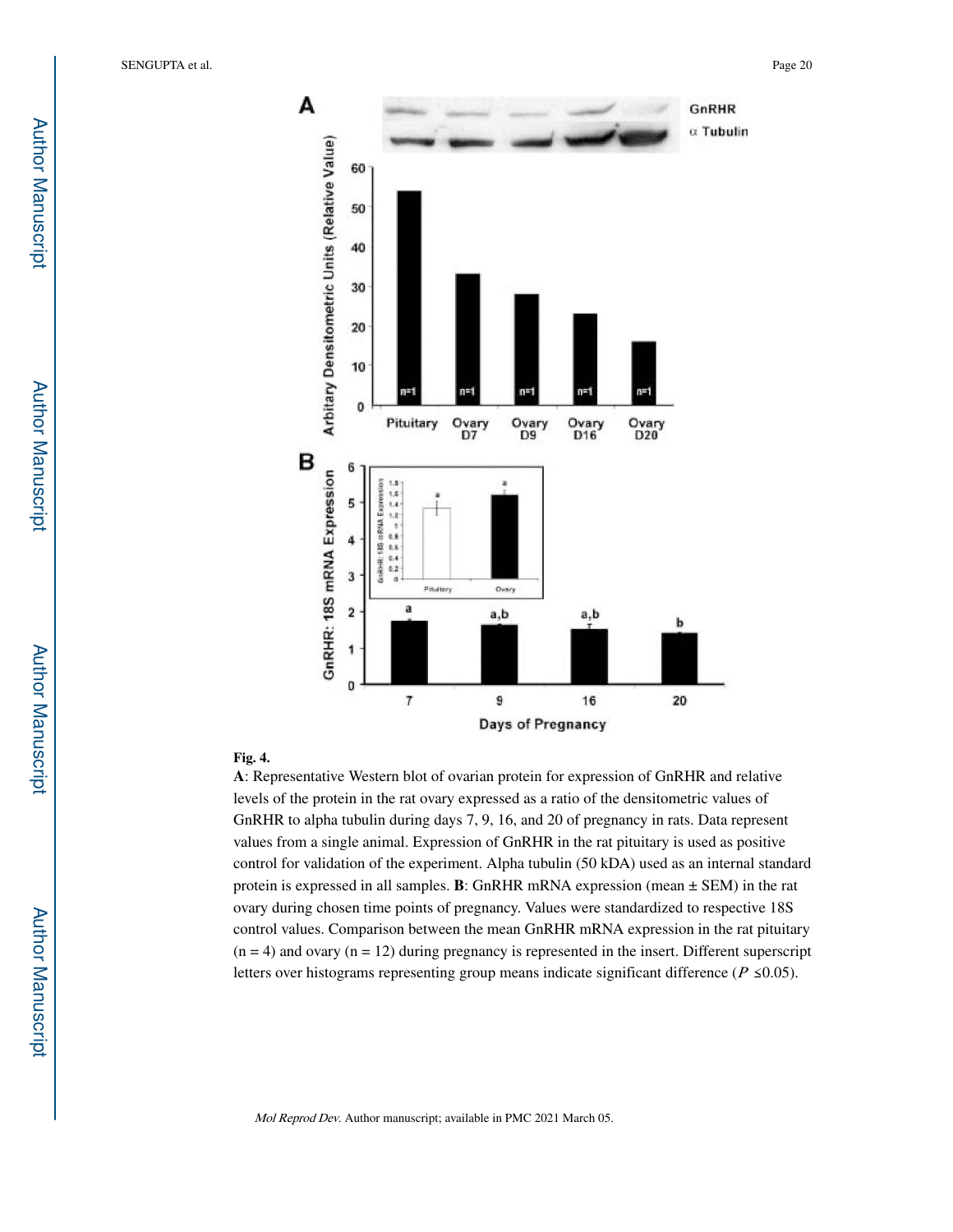

#### **Fig. 4.**

**A**: Representative Western blot of ovarian protein for expression of GnRHR and relative levels of the protein in the rat ovary expressed as a ratio of the densitometric values of GnRHR to alpha tubulin during days 7, 9, 16, and 20 of pregnancy in rats. Data represent values from a single animal. Expression of GnRHR in the rat pituitary is used as positive control for validation of the experiment. Alpha tubulin (50 kDA) used as an internal standard protein is expressed in all samples. **B**: GnRHR mRNA expression (mean ± SEM) in the rat ovary during chosen time points of pregnancy. Values were standardized to respective 18S control values. Comparison between the mean GnRHR mRNA expression in the rat pituitary  $(n = 4)$  and ovary  $(n = 12)$  during pregnancy is represented in the insert. Different superscript letters over histograms representing group means indicate significant difference ( $P \le 0.05$ ).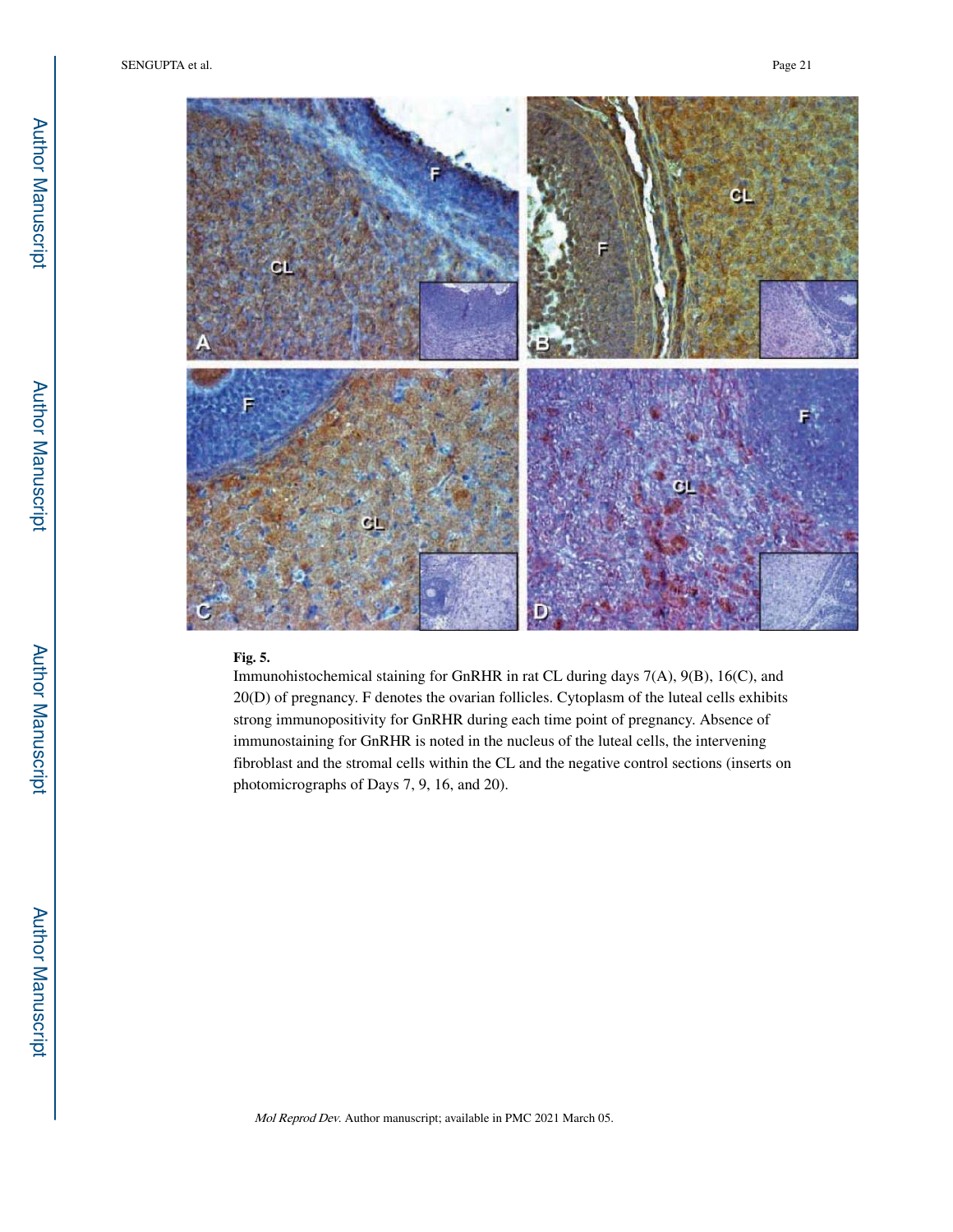

#### **Fig. 5.**

Immunohistochemical staining for GnRHR in rat CL during days 7(A), 9(B), 16(C), and 20(D) of pregnancy. F denotes the ovarian follicles. Cytoplasm of the luteal cells exhibits strong immunopositivity for GnRHR during each time point of pregnancy. Absence of immunostaining for GnRHR is noted in the nucleus of the luteal cells, the intervening fibroblast and the stromal cells within the CL and the negative control sections (inserts on photomicrographs of Days 7, 9, 16, and 20).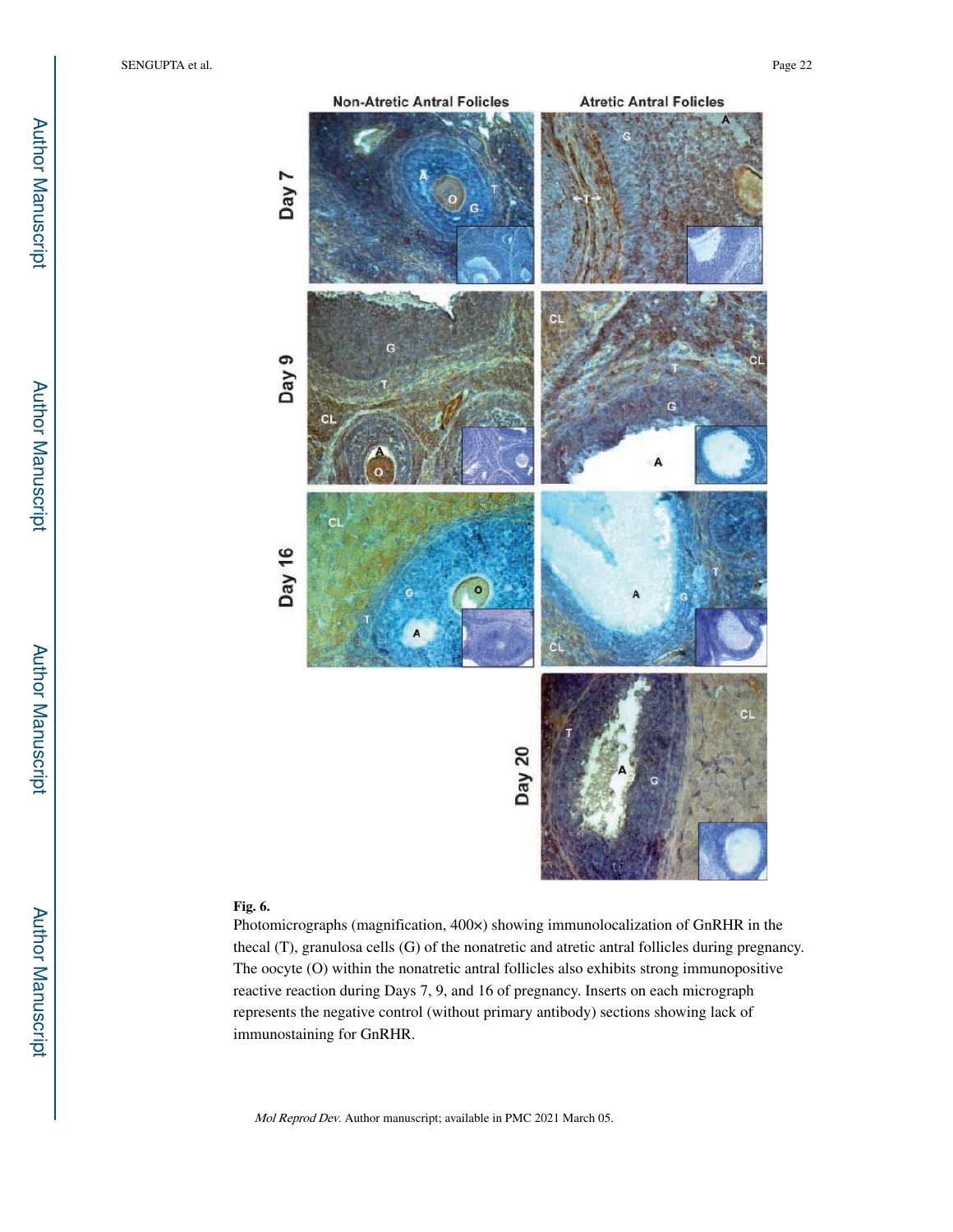

#### **Fig. 6.**

Photomicrographs (magnification, 400×) showing immunolocalization of GnRHR in the thecal (T), granulosa cells (G) of the nonatretic and atretic antral follicles during pregnancy. The oocyte (O) within the nonatretic antral follicles also exhibits strong immunopositive reactive reaction during Days 7, 9, and 16 of pregnancy. Inserts on each micrograph represents the negative control (without primary antibody) sections showing lack of immunostaining for GnRHR.